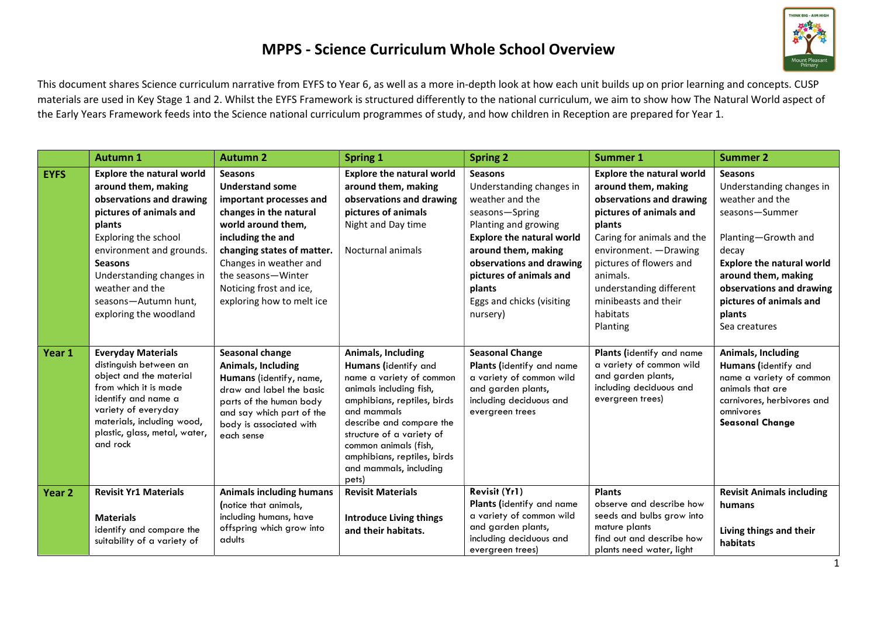

This document shares Science curriculum narrative from EYFS to Year 6, as well as a more in-depth look at how each unit builds up on prior learning and concepts. CUSP materials are used in Key Stage 1 and 2. Whilst the EYFS Framework is structured differently to the national curriculum, we aim to show how The Natural World aspect of the Early Years Framework feeds into the Science national curriculum programmes of study, and how children in Reception are prepared for Year 1.

|                   | <b>Autumn 1</b>                                                                                                                                                                                                                                                                                 | <b>Autumn 2</b>                                                                                                                                                                                                                                                                | <b>Spring 1</b>                                                                                                                                                                                                                                                                                     | <b>Spring 2</b>                                                                                                                                                                                                                                                              | <b>Summer 1</b>                                                                                                                                                                                                                                                                                    | <b>Summer 2</b>                                                                                                                                                                                                                                              |
|-------------------|-------------------------------------------------------------------------------------------------------------------------------------------------------------------------------------------------------------------------------------------------------------------------------------------------|--------------------------------------------------------------------------------------------------------------------------------------------------------------------------------------------------------------------------------------------------------------------------------|-----------------------------------------------------------------------------------------------------------------------------------------------------------------------------------------------------------------------------------------------------------------------------------------------------|------------------------------------------------------------------------------------------------------------------------------------------------------------------------------------------------------------------------------------------------------------------------------|----------------------------------------------------------------------------------------------------------------------------------------------------------------------------------------------------------------------------------------------------------------------------------------------------|--------------------------------------------------------------------------------------------------------------------------------------------------------------------------------------------------------------------------------------------------------------|
| <b>EYFS</b>       | <b>Explore the natural world</b><br>around them, making<br>observations and drawing<br>pictures of animals and<br>plants<br>Exploring the school<br>environment and grounds.<br><b>Seasons</b><br>Understanding changes in<br>weather and the<br>seasons-Autumn hunt,<br>exploring the woodland | <b>Seasons</b><br><b>Understand some</b><br>important processes and<br>changes in the natural<br>world around them,<br>including the and<br>changing states of matter.<br>Changes in weather and<br>the seasons-Winter<br>Noticing frost and ice,<br>exploring how to melt ice | <b>Explore the natural world</b><br>around them, making<br>observations and drawing<br>pictures of animals<br>Night and Day time<br>Nocturnal animals                                                                                                                                               | <b>Seasons</b><br>Understanding changes in<br>weather and the<br>seasons-Spring<br>Planting and growing<br><b>Explore the natural world</b><br>around them, making<br>observations and drawing<br>pictures of animals and<br>plants<br>Eggs and chicks (visiting<br>nursery) | <b>Explore the natural world</b><br>around them, making<br>observations and drawing<br>pictures of animals and<br>plants<br>Caring for animals and the<br>environment. - Drawing<br>pictures of flowers and<br>animals.<br>understanding different<br>minibeasts and their<br>habitats<br>Planting | <b>Seasons</b><br>Understanding changes in<br>weather and the<br>seasons-Summer<br>Planting-Growth and<br>decay<br><b>Explore the natural world</b><br>around them, making<br>observations and drawing<br>pictures of animals and<br>plants<br>Sea creatures |
| Year 1            | <b>Everyday Materials</b><br>distinguish between an<br>object and the material<br>from which it is made<br>identify and name a<br>variety of everyday<br>materials, including wood,<br>plastic, glass, metal, water,<br>and rock                                                                | Seasonal change<br>Animals, Including<br>Humans (identify, name,<br>draw and label the basic<br>parts of the human body<br>and say which part of the<br>body is associated with<br>each sense                                                                                  | Animals, Including<br>Humans (identify and<br>name a variety of common<br>animals including fish,<br>amphibians, reptiles, birds<br>and mammals<br>describe and compare the<br>structure of a variety of<br>common animals (fish,<br>amphibians, reptiles, birds<br>and mammals, including<br>pets) | <b>Seasonal Change</b><br>Plants (identify and name<br>a variety of common wild<br>and garden plants,<br>including deciduous and<br>evergreen trees                                                                                                                          | Plants (identify and name<br>a variety of common wild<br>and garden plants,<br>including deciduous and<br>evergreen trees)                                                                                                                                                                         | Animals, Including<br>Humans (identify and<br>name a variety of common<br>animals that are<br>carnivores, herbivores and<br>omnivores<br><b>Seasonal Change</b>                                                                                              |
| Year <sub>2</sub> | <b>Revisit Yr1 Materials</b><br><b>Materials</b><br>identify and compare the<br>suitability of a variety of                                                                                                                                                                                     | <b>Animals including humans</b><br>(notice that animals,<br>including humans, have<br>offspring which grow into<br>adults                                                                                                                                                      | <b>Revisit Materials</b><br><b>Introduce Living things</b><br>and their habitats.                                                                                                                                                                                                                   | Revisit (Yr1)<br>Plants (identify and name<br>a variety of common wild<br>and garden plants,<br>including deciduous and<br>evergreen trees)                                                                                                                                  | <b>Plants</b><br>observe and describe how<br>seeds and bulbs grow into<br>mature plants<br>find out and describe how<br>plants need water, light                                                                                                                                                   | <b>Revisit Animals including</b><br>humans<br>Living things and their<br>habitats                                                                                                                                                                            |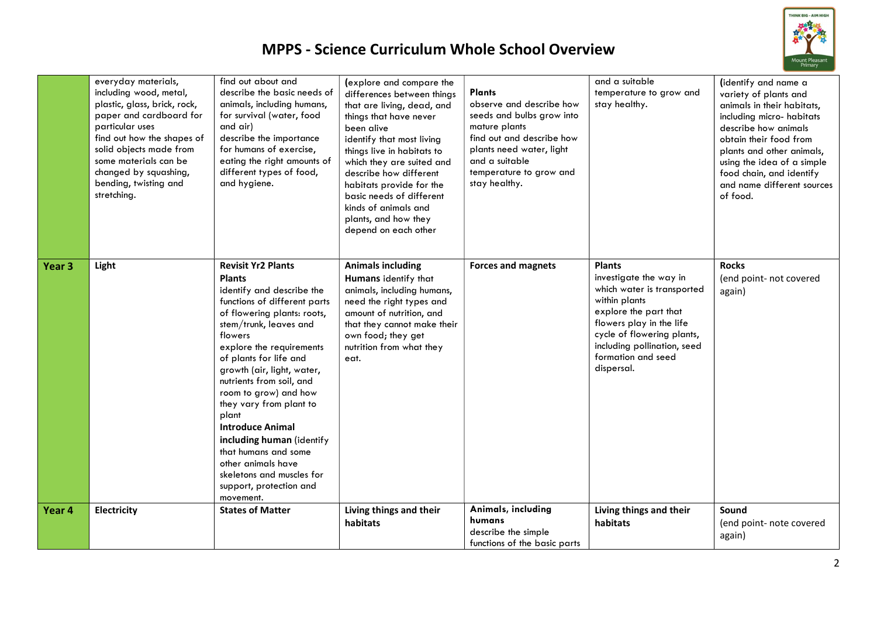

|                   | everyday materials,<br>including wood, metal,<br>plastic, glass, brick, rock,<br>paper and cardboard for<br>particular uses<br>find out how the shapes of<br>solid objects made from<br>some materials can be<br>changed by squashing,<br>bending, twisting and<br>stretching. | find out about and<br>describe the basic needs of<br>animals, including humans,<br>for survival (water, food<br>and air)<br>describe the importance<br>for humans of exercise,<br>eating the right amounts of<br>different types of food,<br>and hygiene.                                                                                                                                                                                                                                                                           | (explore and compare the<br>differences between things<br>that are living, dead, and<br>things that have never<br>been alive<br>identify that most living<br>things live in habitats to<br>which they are suited and<br>describe how different<br>habitats provide for the<br>basic needs of different<br>kinds of animals and<br>plants, and how they<br>depend on each other | Plants<br>observe and describe how<br>seeds and bulbs grow into<br>mature plants<br>find out and describe how<br>plants need water, light<br>and a suitable<br>temperature to grow and<br>stay healthy. | and a suitable<br>temperature to grow and<br>stay healthy.                                                                                                                                                                                   | (identify and name a<br>variety of plants and<br>animals in their habitats,<br>including micro-habitats<br>describe how animals<br>obtain their food from<br>plants and other animals,<br>using the idea of a simple<br>food chain, and identify<br>and name different sources<br>of food. |
|-------------------|--------------------------------------------------------------------------------------------------------------------------------------------------------------------------------------------------------------------------------------------------------------------------------|-------------------------------------------------------------------------------------------------------------------------------------------------------------------------------------------------------------------------------------------------------------------------------------------------------------------------------------------------------------------------------------------------------------------------------------------------------------------------------------------------------------------------------------|--------------------------------------------------------------------------------------------------------------------------------------------------------------------------------------------------------------------------------------------------------------------------------------------------------------------------------------------------------------------------------|---------------------------------------------------------------------------------------------------------------------------------------------------------------------------------------------------------|----------------------------------------------------------------------------------------------------------------------------------------------------------------------------------------------------------------------------------------------|--------------------------------------------------------------------------------------------------------------------------------------------------------------------------------------------------------------------------------------------------------------------------------------------|
| Year <sub>3</sub> | Light                                                                                                                                                                                                                                                                          | <b>Revisit Yr2 Plants</b><br><b>Plants</b><br>identify and describe the<br>functions of different parts<br>of flowering plants: roots,<br>stem/trunk, leaves and<br>flowers<br>explore the requirements<br>of plants for life and<br>growth (air, light, water,<br>nutrients from soil, and<br>room to grow) and how<br>they vary from plant to<br>plant<br><b>Introduce Animal</b><br>including human (identify<br>that humans and some<br>other animals have<br>skeletons and muscles for<br>support, protection and<br>movement. | <b>Animals including</b><br>Humans identify that<br>animals, including humans,<br>need the right types and<br>amount of nutrition, and<br>that they cannot make their<br>own food; they get<br>nutrition from what they<br>eat.                                                                                                                                                | <b>Forces and magnets</b>                                                                                                                                                                               | <b>Plants</b><br>investigate the way in<br>which water is transported<br>within plants<br>explore the part that<br>flowers play in the life<br>cycle of flowering plants,<br>including pollination, seed<br>formation and seed<br>dispersal. | <b>Rocks</b><br>(end point- not covered<br>again)                                                                                                                                                                                                                                          |
| Year 4            | <b>Electricity</b>                                                                                                                                                                                                                                                             | <b>States of Matter</b>                                                                                                                                                                                                                                                                                                                                                                                                                                                                                                             | Living things and their<br>habitats                                                                                                                                                                                                                                                                                                                                            | Animals, including<br>humans<br>describe the simple<br>functions of the basic parts                                                                                                                     | Living things and their<br>habitats                                                                                                                                                                                                          | Sound<br>(end point- note covered<br>again)                                                                                                                                                                                                                                                |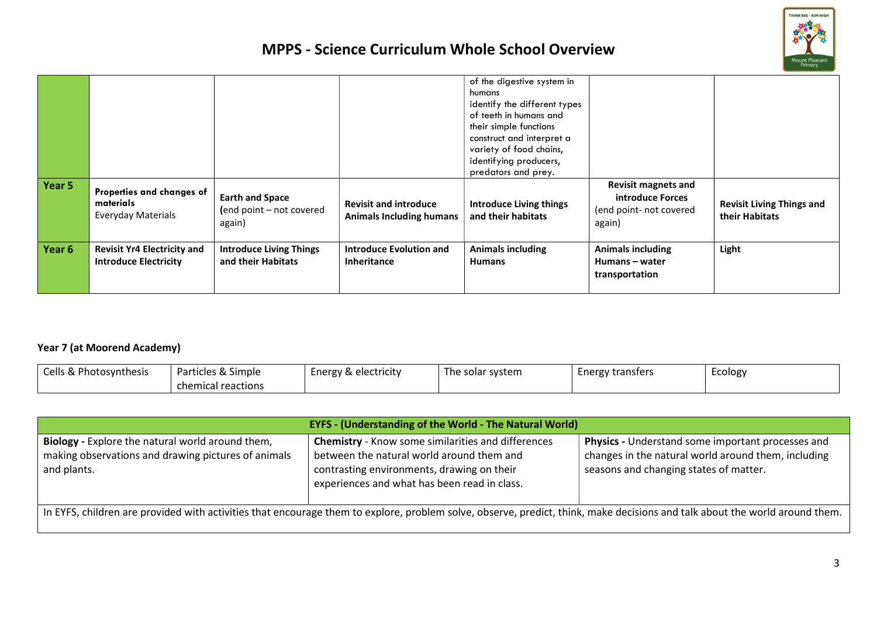

| Year 5 |                                                                     |                                                              |                                                                 | of the digestive system in<br>humans<br>identify the different types<br>of teeth in humans and<br>their simple functions<br>construct and interpret a<br>variety of food chains,<br>identifying producers,<br>predators and prey. | <b>Revisit magnets and</b>                                   |                                                    |
|--------|---------------------------------------------------------------------|--------------------------------------------------------------|-----------------------------------------------------------------|-----------------------------------------------------------------------------------------------------------------------------------------------------------------------------------------------------------------------------------|--------------------------------------------------------------|----------------------------------------------------|
|        | Properties and changes of<br>materials<br><b>Everyday Materials</b> | <b>Earth and Space</b><br>(end point - not covered<br>again) | <b>Revisit and introduce</b><br><b>Animals Including humans</b> | <b>Introduce Living things</b><br>and their habitats                                                                                                                                                                              | introduce Forces<br>(end point- not covered<br>again)        | <b>Revisit Living Things and</b><br>their Habitats |
| Year 6 | <b>Revisit Yr4 Electricity and</b><br><b>Introduce Electricity</b>  | <b>Introduce Living Things</b><br>and their Habitats         | <b>Introduce Evolution and</b><br><b>Inheritance</b>            | <b>Animals including</b><br><b>Humans</b>                                                                                                                                                                                         | <b>Animals including</b><br>Humans – water<br>transportation | Light                                              |

#### Year 7 (at Moorend Academy)

| Cells &<br>Photosvnthesis ، | Particles & Simple | Energy & electricity | The solar system | <b>Energy transfers</b> | Ecology |
|-----------------------------|--------------------|----------------------|------------------|-------------------------|---------|
|                             | chemical reactions |                      |                  |                         |         |

| <b>EYFS - (Understanding of the World - The Natural World)</b>                                                                                                              |                                                                                                                                                                                                      |                                                                                                                                                    |  |  |  |  |  |
|-----------------------------------------------------------------------------------------------------------------------------------------------------------------------------|------------------------------------------------------------------------------------------------------------------------------------------------------------------------------------------------------|----------------------------------------------------------------------------------------------------------------------------------------------------|--|--|--|--|--|
| Biology - Explore the natural world around them,<br>making observations and drawing pictures of animals<br>and plants.                                                      | <b>Chemistry</b> - Know some similarities and differences<br>between the natural world around them and<br>contrasting environments, drawing on their<br>experiences and what has been read in class. | Physics - Understand some important processes and<br>changes in the natural world around them, including<br>seasons and changing states of matter. |  |  |  |  |  |
| In EYFS, children are provided with activities that encourage them to explore, problem solve, observe, predict, think, make decisions and talk about the world around them. |                                                                                                                                                                                                      |                                                                                                                                                    |  |  |  |  |  |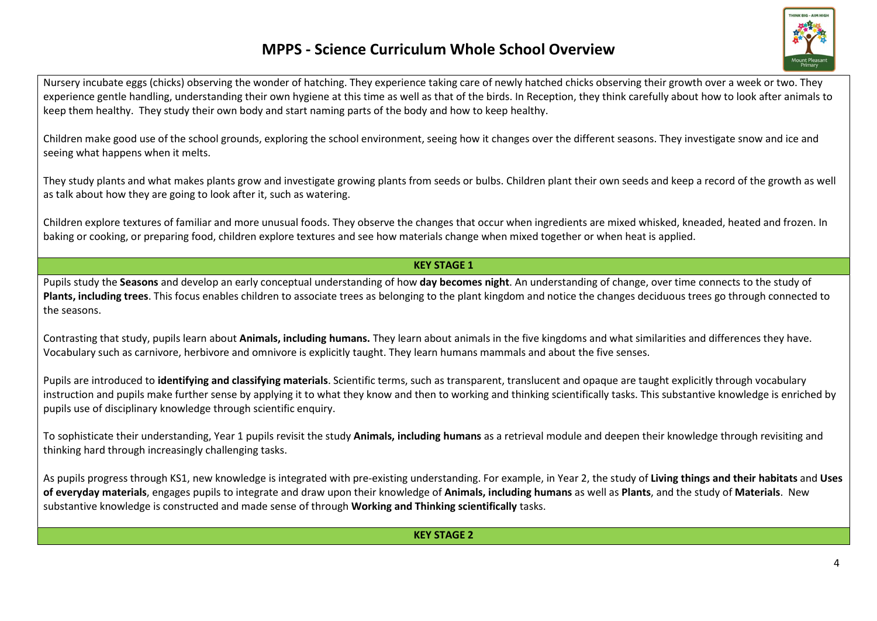

Nursery incubate eggs (chicks) observing the wonder of hatching. They experience taking care of newly hatched chicks observing their growth over a week or two. They experience gentle handling, understanding their own hygiene at this time as well as that of the birds. In Reception, they think carefully about how to look after animals to keep them healthy. They study their own body and start naming parts of the body and how to keep healthy.

Children make good use of the school grounds, exploring the school environment, seeing how it changes over the different seasons. They investigate snow and ice and seeing what happens when it melts.

They study plants and what makes plants grow and investigate growing plants from seeds or bulbs. Children plant their own seeds and keep a record of the growth as well as talk about how they are going to look after it, such as watering.

Children explore textures of familiar and more unusual foods. They observe the changes that occur when ingredients are mixed whisked, kneaded, heated and frozen. In baking or cooking, or preparing food, children explore textures and see how materials change when mixed together or when heat is applied.

#### KEY STAGE 1

Pupils study the Seasons and develop an early conceptual understanding of how day becomes night. An understanding of change, over time connects to the study of Plants, including trees. This focus enables children to associate trees as belonging to the plant kingdom and notice the changes deciduous trees go through connected to the seasons.

Contrasting that study, pupils learn about **Animals, including humans.** They learn about animals in the five kingdoms and what similarities and differences they have. Vocabulary such as carnivore, herbivore and omnivore is explicitly taught. They learn humans mammals and about the five senses.

Pupils are introduced to identifying and classifying materials. Scientific terms, such as transparent, translucent and opaque are taught explicitly through vocabulary instruction and pupils make further sense by applying it to what they know and then to working and thinking scientifically tasks. This substantive knowledge is enriched by pupils use of disciplinary knowledge through scientific enquiry.

To sophisticate their understanding, Year 1 pupils revisit the study Animals, including humans as a retrieval module and deepen their knowledge through revisiting and thinking hard through increasingly challenging tasks.

As pupils progress through KS1, new knowledge is integrated with pre-existing understanding. For example, in Year 2, the study of Living things and their habitats and Uses of everyday materials, engages pupils to integrate and draw upon their knowledge of Animals, including humans as well as Plants, and the study of Materials. New substantive knowledge is constructed and made sense of through Working and Thinking scientifically tasks.

#### KEY STAGE 2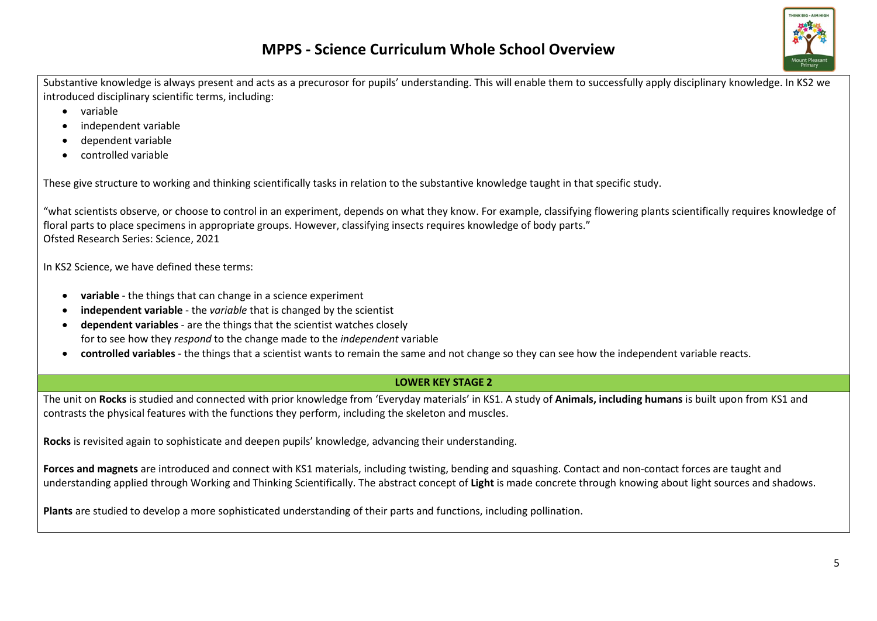Substantive knowledge is always present and acts as a precurosor for pupils' understanding. This will enable them to successfully apply disciplinary knowledge. In KS2 we introduced disciplinary scientific terms, including:

- variable
- independent variable
- dependent variable
- controlled variable

These give structure to working and thinking scientifically tasks in relation to the substantive knowledge taught in that specific study.

"what scientists observe, or choose to control in an experiment, depends on what they know. For example, classifying flowering plants scientifically requires knowledge of floral parts to place specimens in appropriate groups. However, classifying insects requires knowledge of body parts." Ofsted Research Series: Science, 2021

In KS2 Science, we have defined these terms:

- variable the things that can change in a science experiment
- independent variable the variable that is changed by the scientist
- dependent variables are the things that the scientist watches closely for to see how they respond to the change made to the independent variable
- controlled variables the things that a scientist wants to remain the same and not change so they can see how the independent variable reacts.

#### LOWER KEY STAGE 2

The unit on Rocks is studied and connected with prior knowledge from 'Everyday materials' in KS1. A study of Animals, including humans is built upon from KS1 and contrasts the physical features with the functions they perform, including the skeleton and muscles.

Rocks is revisited again to sophisticate and deepen pupils' knowledge, advancing their understanding.

Forces and magnets are introduced and connect with KS1 materials, including twisting, bending and squashing. Contact and non-contact forces are taught and understanding applied through Working and Thinking Scientifically. The abstract concept of Light is made concrete through knowing about light sources and shadows.

Plants are studied to develop a more sophisticated understanding of their parts and functions, including pollination.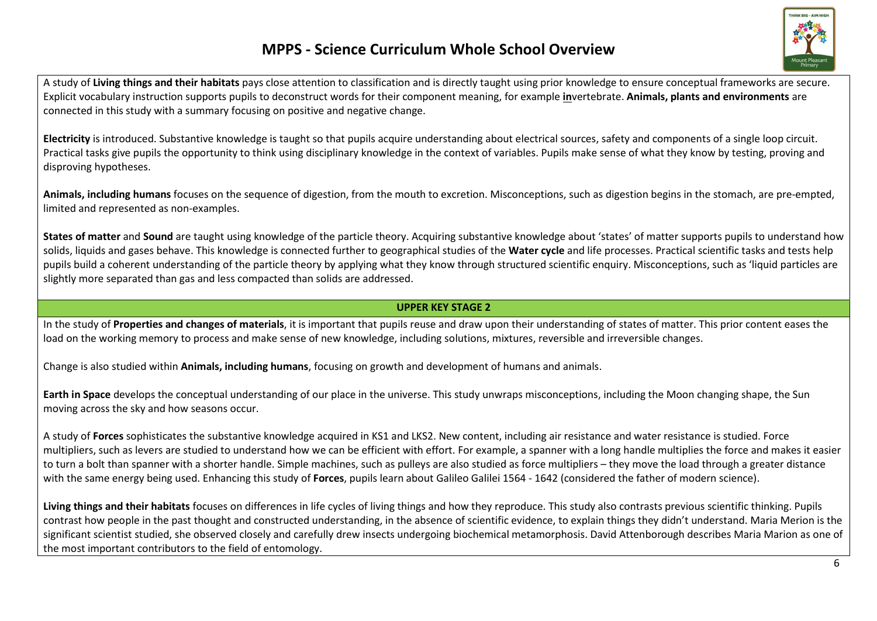

A study of Living things and their habitats pays close attention to classification and is directly taught using prior knowledge to ensure conceptual frameworks are secure. Explicit vocabulary instruction supports pupils to deconstruct words for their component meaning, for example invertebrate. Animals, plants and environments are connected in this study with a summary focusing on positive and negative change.

Electricity is introduced. Substantive knowledge is taught so that pupils acquire understanding about electrical sources, safety and components of a single loop circuit. Practical tasks give pupils the opportunity to think using disciplinary knowledge in the context of variables. Pupils make sense of what they know by testing, proving and disproving hypotheses.

Animals, including humans focuses on the sequence of digestion, from the mouth to excretion. Misconceptions, such as digestion begins in the stomach, are pre-empted, limited and represented as non-examples.

States of matter and Sound are taught using knowledge of the particle theory. Acquiring substantive knowledge about 'states' of matter supports pupils to understand how solids, liquids and gases behave. This knowledge is connected further to geographical studies of the Water cycle and life processes. Practical scientific tasks and tests help pupils build a coherent understanding of the particle theory by applying what they know through structured scientific enquiry. Misconceptions, such as 'liquid particles are slightly more separated than gas and less compacted than solids are addressed.

#### UPPER KEY STAGE 2

In the study of Properties and changes of materials, it is important that pupils reuse and draw upon their understanding of states of matter. This prior content eases the load on the working memory to process and make sense of new knowledge, including solutions, mixtures, reversible and irreversible changes.

Change is also studied within **Animals, including humans**, focusing on growth and development of humans and animals.

Earth in Space develops the conceptual understanding of our place in the universe. This study unwraps misconceptions, including the Moon changing shape, the Sun moving across the sky and how seasons occur.

A study of Forces sophisticates the substantive knowledge acquired in KS1 and LKS2. New content, including air resistance and water resistance is studied. Force multipliers, such as levers are studied to understand how we can be efficient with effort. For example, a spanner with a long handle multiplies the force and makes it easier to turn a bolt than spanner with a shorter handle. Simple machines, such as pulleys are also studied as force multipliers – they move the load through a greater distance with the same energy being used. Enhancing this study of Forces, pupils learn about Galileo Galilei 1564 - 1642 (considered the father of modern science).

Living things and their habitats focuses on differences in life cycles of living things and how they reproduce. This study also contrasts previous scientific thinking. Pupils contrast how people in the past thought and constructed understanding, in the absence of scientific evidence, to explain things they didn't understand. Maria Merion is the significant scientist studied, she observed closely and carefully drew insects undergoing biochemical metamorphosis. David Attenborough describes Maria Marion as one of the most important contributors to the field of entomology.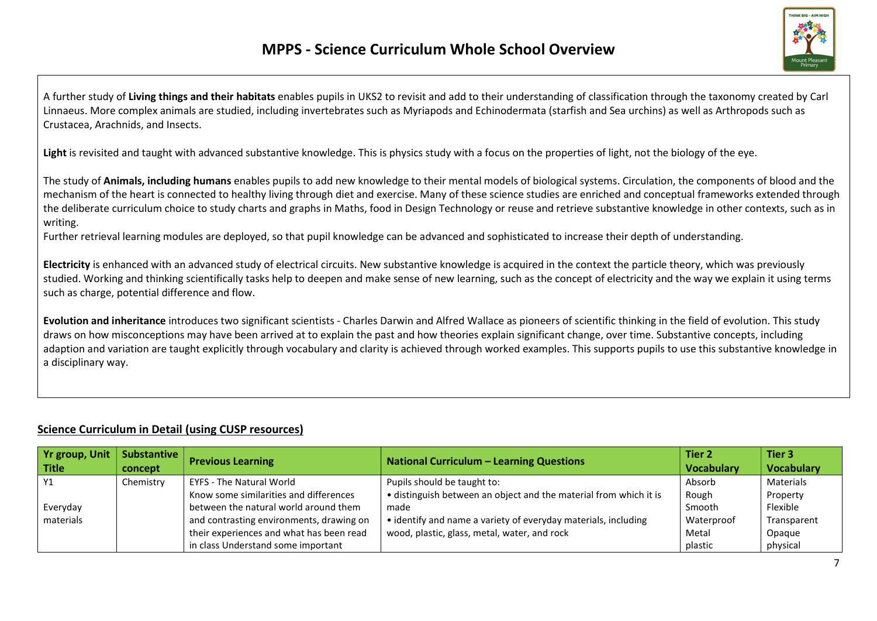

A further study of Living things and their habitats enables pupils in UKS2 to revisit and add to their understanding of classification through the taxonomy created by Carl Linnaeus. More complex animals are studied, including invertebrates such as Myriapods and Echinodermata (starfish and Sea urchins) as well as Arthropods such as Crustacea, Arachnids, and Insects.

Light is revisited and taught with advanced substantive knowledge. This is physics study with a focus on the properties of light, not the biology of the eye.

The study of Animals, including humans enables pupils to add new knowledge to their mental models of biological systems. Circulation, the components of blood and the mechanism of the heart is connected to healthy living through diet and exercise. Many of these science studies are enriched and conceptual frameworks extended through the deliberate curriculum choice to study charts and graphs in Maths, food in Design Technology or reuse and retrieve substantive knowledge in other contexts, such as in writing.

Further retrieval learning modules are deployed, so that pupil knowledge can be advanced and sophisticated to increase their depth of understanding.

Electricity is enhanced with an advanced study of electrical circuits. New substantive knowledge is acquired in the context the particle theory, which was previously studied. Working and thinking scientifically tasks help to deepen and make sense of new learning, such as the concept of electricity and the way we explain it using terms such as charge, potential difference and flow.

Evolution and inheritance introduces two significant scientists - Charles Darwin and Alfred Wallace as pioneers of scientific thinking in the field of evolution. This study draws on how misconceptions may have been arrived at to explain the past and how theories explain significant change, over time. Substantive concepts, including adaption and variation are taught explicitly through vocabulary and clarity is achieved through worked examples. This supports pupils to use this substantive knowledge in a disciplinary way.

#### Science Curriculum in Detail (using CUSP resources)

| Yr group, Unit | <b>Substantive</b> | <b>Previous Learning</b>                 | <b>National Curriculum - Learning Questions</b>                   | Tier 2            | Tier 3            |
|----------------|--------------------|------------------------------------------|-------------------------------------------------------------------|-------------------|-------------------|
| <b>Title</b>   | concept            |                                          |                                                                   | <b>Vocabulary</b> | <b>Vocabulary</b> |
| Y1             | Chemistry          | <b>EYFS - The Natural World</b>          | Pupils should be taught to:                                       | Absorb            | Materials         |
|                |                    | Know some similarities and differences   | • distinguish between an object and the material from which it is | Rough             | Property          |
| Everyday       |                    | between the natural world around them    | made                                                              | Smooth            | Flexible          |
| materials      |                    | and contrasting environments, drawing on | • identify and name a variety of everyday materials, including    | Waterproof        | Transparent       |
|                |                    | their experiences and what has been read | wood, plastic, glass, metal, water, and rock                      | Metal             | Opaque            |
|                |                    | in class Understand some important       |                                                                   | plastic           | physical          |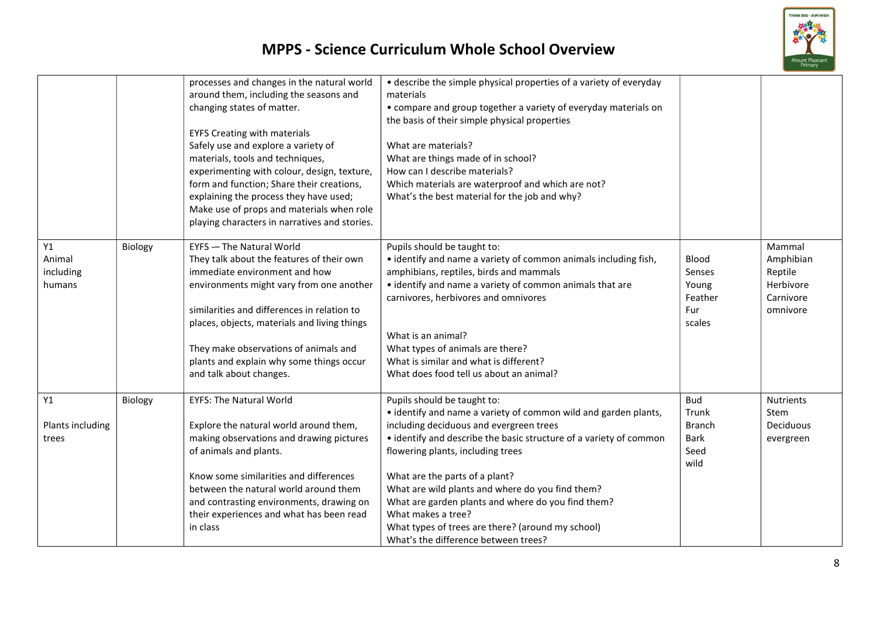

|                                     |         | processes and changes in the natural world<br>around them, including the seasons and<br>changing states of matter.<br><b>EYFS Creating with materials</b><br>Safely use and explore a variety of<br>materials, tools and techniques,<br>experimenting with colour, design, texture,<br>form and function; Share their creations,<br>explaining the process they have used;<br>Make use of props and materials when role<br>playing characters in narratives and stories. | • describe the simple physical properties of a variety of everyday<br>materials<br>• compare and group together a variety of everyday materials on<br>the basis of their simple physical properties<br>What are materials?<br>What are things made of in school?<br>How can I describe materials?<br>Which materials are waterproof and which are not?<br>What's the best material for the job and why?                                                                                                             |                                                                     |                                                                      |
|-------------------------------------|---------|--------------------------------------------------------------------------------------------------------------------------------------------------------------------------------------------------------------------------------------------------------------------------------------------------------------------------------------------------------------------------------------------------------------------------------------------------------------------------|---------------------------------------------------------------------------------------------------------------------------------------------------------------------------------------------------------------------------------------------------------------------------------------------------------------------------------------------------------------------------------------------------------------------------------------------------------------------------------------------------------------------|---------------------------------------------------------------------|----------------------------------------------------------------------|
| Y1<br>Animal<br>including<br>humans | Biology | <b>EYFS -- The Natural World</b><br>They talk about the features of their own<br>immediate environment and how<br>environments might vary from one another<br>similarities and differences in relation to<br>places, objects, materials and living things<br>They make observations of animals and<br>plants and explain why some things occur<br>and talk about changes.                                                                                                | Pupils should be taught to:<br>• identify and name a variety of common animals including fish,<br>amphibians, reptiles, birds and mammals<br>• identify and name a variety of common animals that are<br>carnivores, herbivores and omnivores<br>What is an animal?<br>What types of animals are there?<br>What is similar and what is different?<br>What does food tell us about an animal?                                                                                                                        | Blood<br>Senses<br>Young<br>Feather<br>Fur<br>scales                | Mammal<br>Amphibian<br>Reptile<br>Herbivore<br>Carnivore<br>omnivore |
| Y1<br>Plants including<br>trees     | Biology | <b>EYFS: The Natural World</b><br>Explore the natural world around them,<br>making observations and drawing pictures<br>of animals and plants.<br>Know some similarities and differences<br>between the natural world around them<br>and contrasting environments, drawing on<br>their experiences and what has been read<br>in class                                                                                                                                    | Pupils should be taught to:<br>• identify and name a variety of common wild and garden plants,<br>including deciduous and evergreen trees<br>• identify and describe the basic structure of a variety of common<br>flowering plants, including trees<br>What are the parts of a plant?<br>What are wild plants and where do you find them?<br>What are garden plants and where do you find them?<br>What makes a tree?<br>What types of trees are there? (around my school)<br>What's the difference between trees? | <b>Bud</b><br>Trunk<br><b>Branch</b><br><b>Bark</b><br>Seed<br>wild | <b>Nutrients</b><br>Stem<br>Deciduous<br>evergreen                   |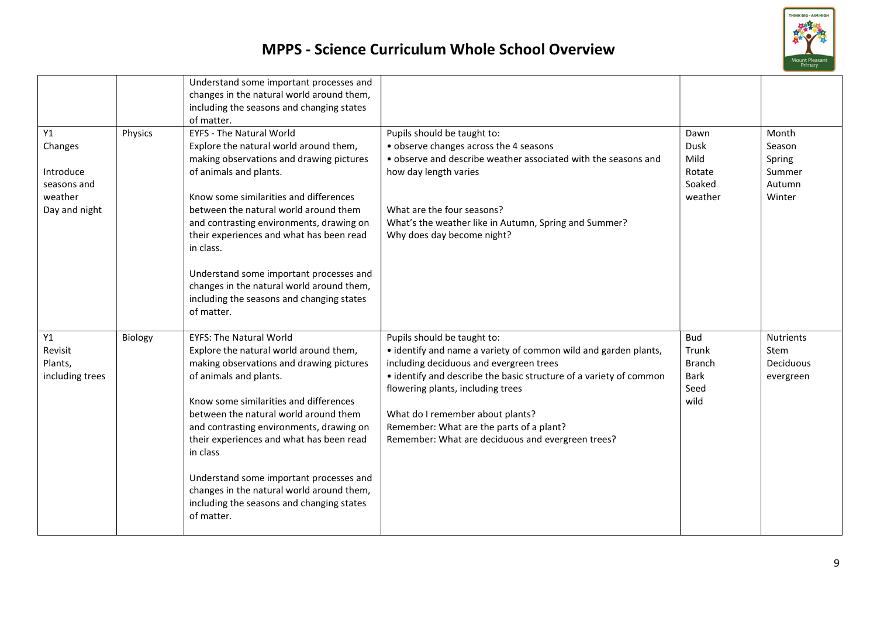

| Y1<br>Physics<br>Changes<br>Introduce<br>seasons and   | Understand some important processes and<br>changes in the natural world around them,<br>including the seasons and changing states<br>of matter.<br><b>EYFS - The Natural World</b><br>Explore the natural world around them,<br>making observations and drawing pictures<br>of animals and plants.                                                                                                                                                                                       | Pupils should be taught to:<br>• observe changes across the 4 seasons<br>• observe and describe weather associated with the seasons and<br>how day length varies                                                                                                                                                                                                                          | Dawn<br>Dusk<br>Mild<br>Rotate<br>Soaked                            | Month<br>Season<br>Spring<br>Summer<br>Autumn             |
|--------------------------------------------------------|------------------------------------------------------------------------------------------------------------------------------------------------------------------------------------------------------------------------------------------------------------------------------------------------------------------------------------------------------------------------------------------------------------------------------------------------------------------------------------------|-------------------------------------------------------------------------------------------------------------------------------------------------------------------------------------------------------------------------------------------------------------------------------------------------------------------------------------------------------------------------------------------|---------------------------------------------------------------------|-----------------------------------------------------------|
| weather<br>Day and night                               | Know some similarities and differences<br>between the natural world around them<br>and contrasting environments, drawing on<br>their experiences and what has been read<br>in class.<br>Understand some important processes and<br>changes in the natural world around them,                                                                                                                                                                                                             | What are the four seasons?<br>What's the weather like in Autumn, Spring and Summer?<br>Why does day become night?                                                                                                                                                                                                                                                                         | weather                                                             | Winter                                                    |
|                                                        | including the seasons and changing states<br>of matter.                                                                                                                                                                                                                                                                                                                                                                                                                                  |                                                                                                                                                                                                                                                                                                                                                                                           |                                                                     |                                                           |
| Y1<br>Biology<br>Revisit<br>Plants,<br>including trees | <b>EYFS: The Natural World</b><br>Explore the natural world around them,<br>making observations and drawing pictures<br>of animals and plants.<br>Know some similarities and differences<br>between the natural world around them<br>and contrasting environments, drawing on<br>their experiences and what has been read<br>in class<br>Understand some important processes and<br>changes in the natural world around them,<br>including the seasons and changing states<br>of matter. | Pupils should be taught to:<br>• identify and name a variety of common wild and garden plants,<br>including deciduous and evergreen trees<br>• identify and describe the basic structure of a variety of common<br>flowering plants, including trees<br>What do I remember about plants?<br>Remember: What are the parts of a plant?<br>Remember: What are deciduous and evergreen trees? | <b>Bud</b><br>Trunk<br><b>Branch</b><br><b>Bark</b><br>Seed<br>wild | <b>Nutrients</b><br><b>Stem</b><br>Deciduous<br>evergreen |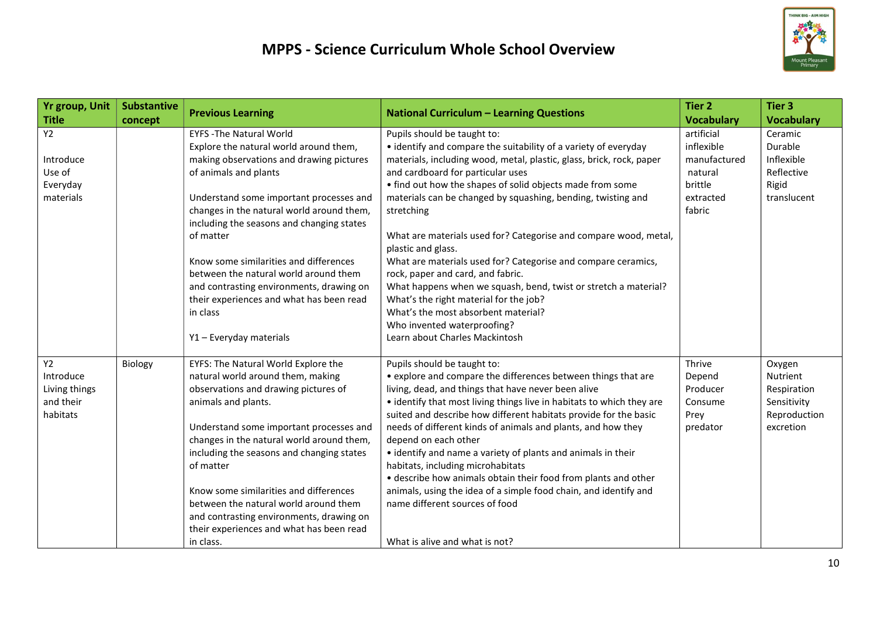

| <b>Yr group, Unit</b>                                            | <b>Substantive</b> |                                                                                                                                                                                                                                                                                                                                                                                                                                                                                                                  | <b>National Curriculum - Learning Questions</b>                                                                                                                                                                                                                                                                                                                                                                                                                                                                                                                                                                                                                                                                                                                             | <b>Tier 2</b>                                                                         | <b>Tier 3</b>                                                                 |
|------------------------------------------------------------------|--------------------|------------------------------------------------------------------------------------------------------------------------------------------------------------------------------------------------------------------------------------------------------------------------------------------------------------------------------------------------------------------------------------------------------------------------------------------------------------------------------------------------------------------|-----------------------------------------------------------------------------------------------------------------------------------------------------------------------------------------------------------------------------------------------------------------------------------------------------------------------------------------------------------------------------------------------------------------------------------------------------------------------------------------------------------------------------------------------------------------------------------------------------------------------------------------------------------------------------------------------------------------------------------------------------------------------------|---------------------------------------------------------------------------------------|-------------------------------------------------------------------------------|
| <b>Title</b>                                                     | concept            | <b>Previous Learning</b>                                                                                                                                                                                                                                                                                                                                                                                                                                                                                         |                                                                                                                                                                                                                                                                                                                                                                                                                                                                                                                                                                                                                                                                                                                                                                             | <b>Vocabulary</b>                                                                     | <b>Vocabulary</b>                                                             |
| <b>Y2</b><br>Introduce<br>Use of<br>Everyday<br>materials        |                    | <b>EYFS-The Natural World</b><br>Explore the natural world around them,<br>making observations and drawing pictures<br>of animals and plants<br>Understand some important processes and<br>changes in the natural world around them,<br>including the seasons and changing states<br>of matter<br>Know some similarities and differences<br>between the natural world around them<br>and contrasting environments, drawing on<br>their experiences and what has been read<br>in class<br>Y1 - Everyday materials | Pupils should be taught to:<br>• identify and compare the suitability of a variety of everyday<br>materials, including wood, metal, plastic, glass, brick, rock, paper<br>and cardboard for particular uses<br>• find out how the shapes of solid objects made from some<br>materials can be changed by squashing, bending, twisting and<br>stretching<br>What are materials used for? Categorise and compare wood, metal,<br>plastic and glass.<br>What are materials used for? Categorise and compare ceramics,<br>rock, paper and card, and fabric.<br>What happens when we squash, bend, twist or stretch a material?<br>What's the right material for the job?<br>What's the most absorbent material?<br>Who invented waterproofing?<br>Learn about Charles Mackintosh | artificial<br>inflexible<br>manufactured<br>natural<br>brittle<br>extracted<br>fabric | Ceramic<br>Durable<br>Inflexible<br>Reflective<br>Rigid<br>translucent        |
| <b>Y2</b><br>Introduce<br>Living things<br>and their<br>habitats | Biology            | EYFS: The Natural World Explore the<br>natural world around them, making<br>observations and drawing pictures of<br>animals and plants.<br>Understand some important processes and<br>changes in the natural world around them,<br>including the seasons and changing states<br>of matter<br>Know some similarities and differences<br>between the natural world around them<br>and contrasting environments, drawing on<br>their experiences and what has been read<br>in class.                                | Pupils should be taught to:<br>• explore and compare the differences between things that are<br>living, dead, and things that have never been alive<br>• identify that most living things live in habitats to which they are<br>suited and describe how different habitats provide for the basic<br>needs of different kinds of animals and plants, and how they<br>depend on each other<br>• identify and name a variety of plants and animals in their<br>habitats, including microhabitats<br>• describe how animals obtain their food from plants and other<br>animals, using the idea of a simple food chain, and identify and<br>name different sources of food<br>What is alive and what is not?                                                                     | Thrive<br>Depend<br>Producer<br>Consume<br>Prey<br>predator                           | Oxygen<br>Nutrient<br>Respiration<br>Sensitivity<br>Reproduction<br>excretion |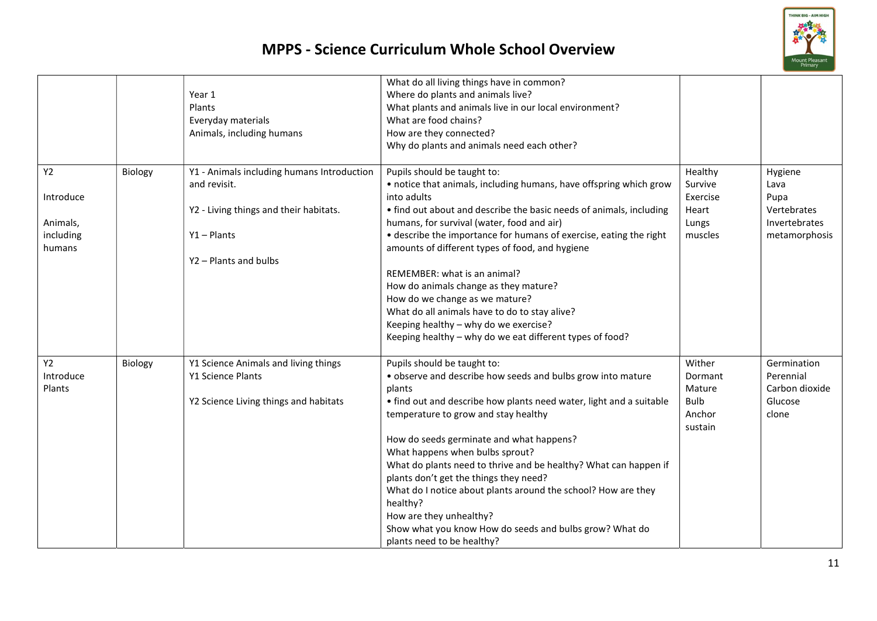

|           |         | Year 1                                     | What do all living things have in common?<br>Where do plants and animals live?                    |             |                |
|-----------|---------|--------------------------------------------|---------------------------------------------------------------------------------------------------|-------------|----------------|
|           |         | Plants                                     | What plants and animals live in our local environment?                                            |             |                |
|           |         | Everyday materials                         | What are food chains?                                                                             |             |                |
|           |         | Animals, including humans                  | How are they connected?                                                                           |             |                |
|           |         |                                            | Why do plants and animals need each other?                                                        |             |                |
|           |         |                                            |                                                                                                   |             |                |
| <b>Y2</b> | Biology | Y1 - Animals including humans Introduction | Pupils should be taught to:                                                                       | Healthy     | Hygiene        |
|           |         | and revisit.                               | • notice that animals, including humans, have offspring which grow                                | Survive     | Lava           |
| Introduce |         |                                            | into adults                                                                                       | Exercise    | Pupa           |
|           |         | Y2 - Living things and their habitats.     | • find out about and describe the basic needs of animals, including                               | Heart       | Vertebrates    |
| Animals,  |         |                                            | humans, for survival (water, food and air)                                                        | Lungs       | Invertebrates  |
| including |         | $Y1 -$ Plants                              | • describe the importance for humans of exercise, eating the right                                | muscles     | metamorphosis  |
| humans    |         |                                            | amounts of different types of food, and hygiene                                                   |             |                |
|           |         | Y2 - Plants and bulbs                      |                                                                                                   |             |                |
|           |         |                                            | REMEMBER: what is an animal?                                                                      |             |                |
|           |         |                                            | How do animals change as they mature?                                                             |             |                |
|           |         |                                            | How do we change as we mature?                                                                    |             |                |
|           |         |                                            | What do all animals have to do to stay alive?                                                     |             |                |
|           |         |                                            | Keeping healthy - why do we exercise?<br>Keeping healthy - why do we eat different types of food? |             |                |
|           |         |                                            |                                                                                                   |             |                |
| <b>Y2</b> | Biology | Y1 Science Animals and living things       | Pupils should be taught to:                                                                       | Wither      | Germination    |
| Introduce |         | Y1 Science Plants                          | . observe and describe how seeds and bulbs grow into mature                                       | Dormant     | Perennial      |
| Plants    |         |                                            | plants                                                                                            | Mature      | Carbon dioxide |
|           |         | Y2 Science Living things and habitats      | • find out and describe how plants need water, light and a suitable                               | <b>Bulb</b> | Glucose        |
|           |         |                                            | temperature to grow and stay healthy                                                              | Anchor      | clone          |
|           |         |                                            |                                                                                                   | sustain     |                |
|           |         |                                            | How do seeds germinate and what happens?                                                          |             |                |
|           |         |                                            | What happens when bulbs sprout?                                                                   |             |                |
|           |         |                                            | What do plants need to thrive and be healthy? What can happen if                                  |             |                |
|           |         |                                            | plants don't get the things they need?                                                            |             |                |
|           |         |                                            | What do I notice about plants around the school? How are they                                     |             |                |
|           |         |                                            | healthy?                                                                                          |             |                |
|           |         |                                            | How are they unhealthy?                                                                           |             |                |
|           |         |                                            | Show what you know How do seeds and bulbs grow? What do                                           |             |                |
|           |         |                                            | plants need to be healthy?                                                                        |             |                |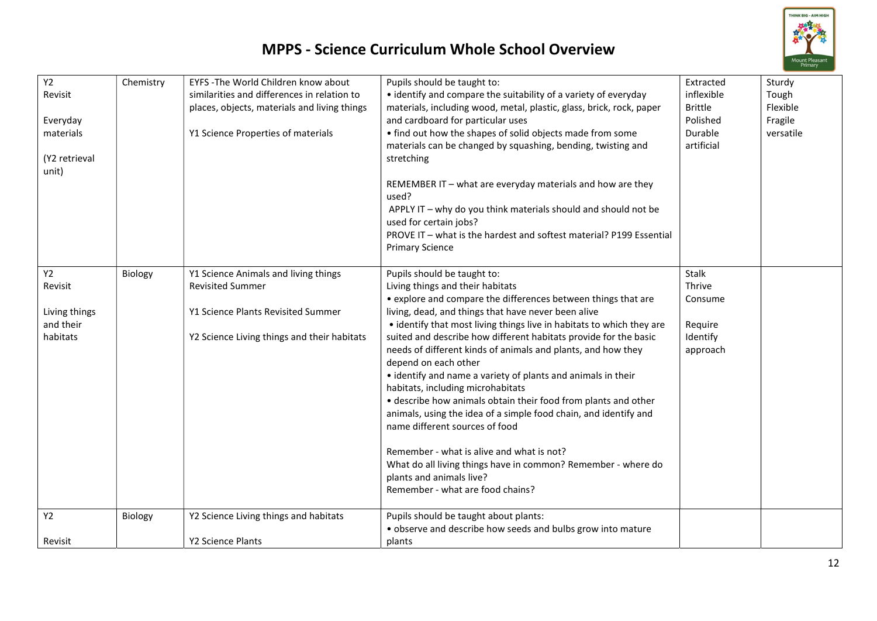

| Y2<br>Revisit<br>Everyday<br>materials<br>(Y2 retrieval<br>unit)<br>Y2 | Chemistry<br>Biology | EYFS - The World Children know about<br>similarities and differences in relation to<br>places, objects, materials and living things<br>Y1 Science Properties of materials<br>Y1 Science Animals and living things | Pupils should be taught to:<br>• identify and compare the suitability of a variety of everyday<br>materials, including wood, metal, plastic, glass, brick, rock, paper<br>and cardboard for particular uses<br>• find out how the shapes of solid objects made from some<br>materials can be changed by squashing, bending, twisting and<br>stretching<br>REMEMBER IT - what are everyday materials and how are they<br>used?<br>APPLY IT - why do you think materials should and should not be<br>used for certain jobs?<br>PROVE IT - what is the hardest and softest material? P199 Essential<br><b>Primary Science</b><br>Pupils should be taught to: | Extracted<br>inflexible<br><b>Brittle</b><br>Polished<br>Durable<br>artificial<br>Stalk | Sturdy<br>Tough<br>Flexible<br>Fragile<br>versatile |
|------------------------------------------------------------------------|----------------------|-------------------------------------------------------------------------------------------------------------------------------------------------------------------------------------------------------------------|-----------------------------------------------------------------------------------------------------------------------------------------------------------------------------------------------------------------------------------------------------------------------------------------------------------------------------------------------------------------------------------------------------------------------------------------------------------------------------------------------------------------------------------------------------------------------------------------------------------------------------------------------------------|-----------------------------------------------------------------------------------------|-----------------------------------------------------|
| Revisit                                                                |                      | <b>Revisited Summer</b>                                                                                                                                                                                           | Living things and their habitats                                                                                                                                                                                                                                                                                                                                                                                                                                                                                                                                                                                                                          | Thrive                                                                                  |                                                     |
|                                                                        |                      |                                                                                                                                                                                                                   | • explore and compare the differences between things that are                                                                                                                                                                                                                                                                                                                                                                                                                                                                                                                                                                                             | Consume                                                                                 |                                                     |
| Living things                                                          |                      | Y1 Science Plants Revisited Summer                                                                                                                                                                                | living, dead, and things that have never been alive                                                                                                                                                                                                                                                                                                                                                                                                                                                                                                                                                                                                       |                                                                                         |                                                     |
| and their<br>habitats                                                  |                      | Y2 Science Living things and their habitats                                                                                                                                                                       | • identify that most living things live in habitats to which they are<br>suited and describe how different habitats provide for the basic                                                                                                                                                                                                                                                                                                                                                                                                                                                                                                                 | Require<br>Identify                                                                     |                                                     |
|                                                                        |                      |                                                                                                                                                                                                                   | needs of different kinds of animals and plants, and how they<br>depend on each other<br>• identify and name a variety of plants and animals in their<br>habitats, including microhabitats<br>• describe how animals obtain their food from plants and other<br>animals, using the idea of a simple food chain, and identify and<br>name different sources of food<br>Remember - what is alive and what is not?<br>What do all living things have in common? Remember - where do<br>plants and animals live?<br>Remember - what are food chains?                                                                                                           | approach                                                                                |                                                     |
| Y2                                                                     | Biology              | Y2 Science Living things and habitats                                                                                                                                                                             | Pupils should be taught about plants:<br>• observe and describe how seeds and bulbs grow into mature                                                                                                                                                                                                                                                                                                                                                                                                                                                                                                                                                      |                                                                                         |                                                     |
| Revisit                                                                |                      | Y2 Science Plants                                                                                                                                                                                                 | plants                                                                                                                                                                                                                                                                                                                                                                                                                                                                                                                                                                                                                                                    |                                                                                         |                                                     |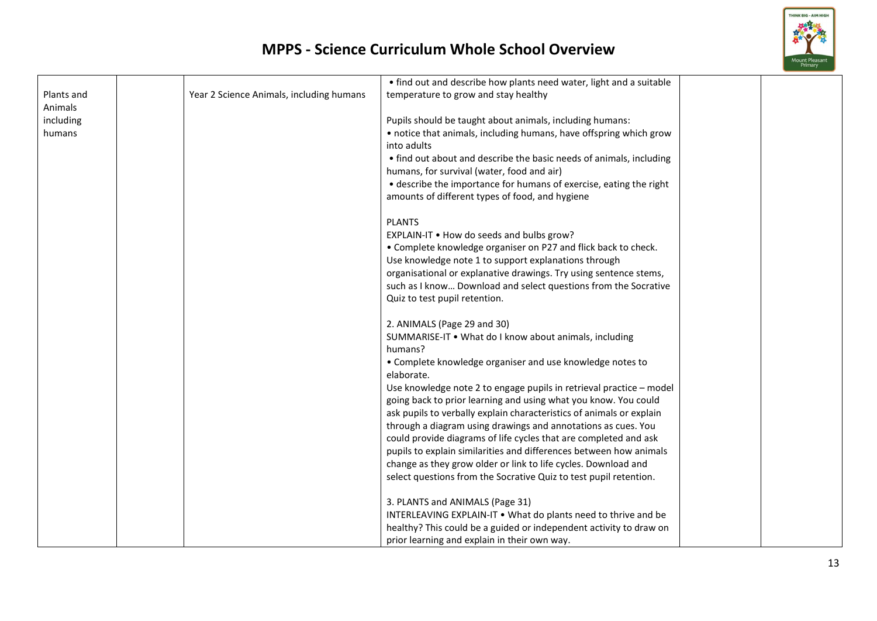

|            |                                          | • find out and describe how plants need water, light and a suitable  |  |
|------------|------------------------------------------|----------------------------------------------------------------------|--|
| Plants and | Year 2 Science Animals, including humans | temperature to grow and stay healthy                                 |  |
| Animals    |                                          |                                                                      |  |
| including  |                                          | Pupils should be taught about animals, including humans:             |  |
| humans     |                                          | • notice that animals, including humans, have offspring which grow   |  |
|            |                                          | into adults                                                          |  |
|            |                                          | • find out about and describe the basic needs of animals, including  |  |
|            |                                          | humans, for survival (water, food and air)                           |  |
|            |                                          | • describe the importance for humans of exercise, eating the right   |  |
|            |                                          | amounts of different types of food, and hygiene                      |  |
|            |                                          | <b>PLANTS</b>                                                        |  |
|            |                                          | EXPLAIN-IT . How do seeds and bulbs grow?                            |  |
|            |                                          | • Complete knowledge organiser on P27 and flick back to check.       |  |
|            |                                          | Use knowledge note 1 to support explanations through                 |  |
|            |                                          | organisational or explanative drawings. Try using sentence stems,    |  |
|            |                                          | such as I know Download and select questions from the Socrative      |  |
|            |                                          | Quiz to test pupil retention.                                        |  |
|            |                                          | 2. ANIMALS (Page 29 and 30)                                          |  |
|            |                                          | SUMMARISE-IT . What do I know about animals, including               |  |
|            |                                          | humans?                                                              |  |
|            |                                          | • Complete knowledge organiser and use knowledge notes to            |  |
|            |                                          | elaborate.                                                           |  |
|            |                                          | Use knowledge note 2 to engage pupils in retrieval practice - model  |  |
|            |                                          | going back to prior learning and using what you know. You could      |  |
|            |                                          | ask pupils to verbally explain characteristics of animals or explain |  |
|            |                                          | through a diagram using drawings and annotations as cues. You        |  |
|            |                                          | could provide diagrams of life cycles that are completed and ask     |  |
|            |                                          | pupils to explain similarities and differences between how animals   |  |
|            |                                          | change as they grow older or link to life cycles. Download and       |  |
|            |                                          | select questions from the Socrative Quiz to test pupil retention.    |  |
|            |                                          | 3. PLANTS and ANIMALS (Page 31)                                      |  |
|            |                                          | INTERLEAVING EXPLAIN-IT . What do plants need to thrive and be       |  |
|            |                                          | healthy? This could be a guided or independent activity to draw on   |  |
|            |                                          | prior learning and explain in their own way.                         |  |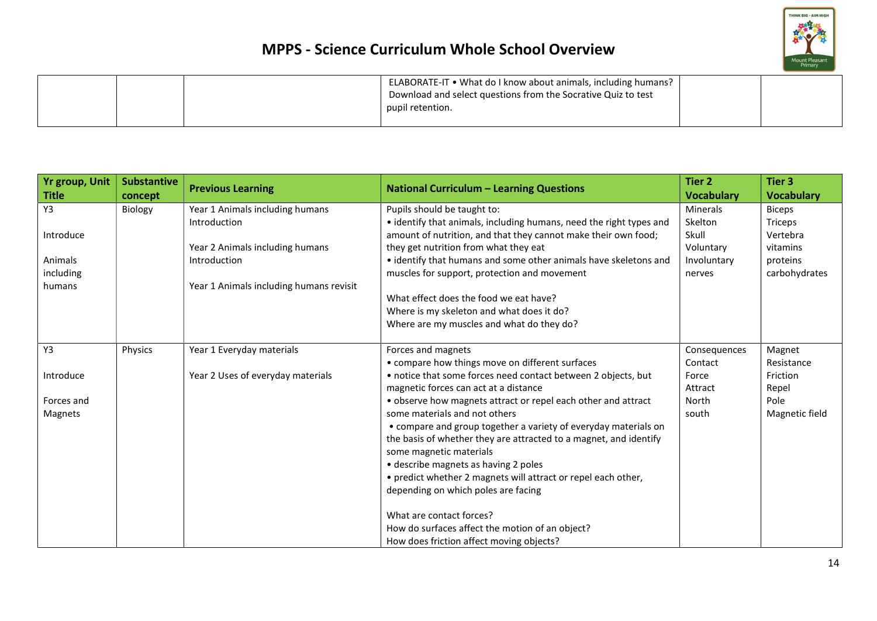

|  | ELABORATE-IT • What do I know about animals, including humans?<br>Download and select questions from the Socrative Quiz to test<br>pupil retention. |  |
|--|-----------------------------------------------------------------------------------------------------------------------------------------------------|--|
|  |                                                                                                                                                     |  |

| <b>Yr group, Unit</b> | <b>Substantive</b> | <b>Previous Learning</b>                | <b>National Curriculum - Learning Questions</b>                     | <b>Tier 2</b><br><b>Vocabulary</b> | <b>Tier 3</b><br><b>Vocabulary</b> |
|-----------------------|--------------------|-----------------------------------------|---------------------------------------------------------------------|------------------------------------|------------------------------------|
| <b>Title</b><br>Y3    | concept            | Year 1 Animals including humans         |                                                                     | <b>Minerals</b>                    |                                    |
|                       | Biology            |                                         | Pupils should be taught to:                                         |                                    | <b>Biceps</b>                      |
|                       |                    | Introduction                            | • identify that animals, including humans, need the right types and | Skelton                            | Triceps                            |
| Introduce             |                    |                                         | amount of nutrition, and that they cannot make their own food;      | Skull                              | Vertebra                           |
|                       |                    | Year 2 Animals including humans         | they get nutrition from what they eat                               | Voluntary                          | vitamins                           |
| Animals               |                    | Introduction                            | • identify that humans and some other animals have skeletons and    | Involuntary                        | proteins                           |
| including             |                    |                                         | muscles for support, protection and movement                        | nerves                             | carbohydrates                      |
| humans                |                    | Year 1 Animals including humans revisit |                                                                     |                                    |                                    |
|                       |                    |                                         | What effect does the food we eat have?                              |                                    |                                    |
|                       |                    |                                         | Where is my skeleton and what does it do?                           |                                    |                                    |
|                       |                    |                                         | Where are my muscles and what do they do?                           |                                    |                                    |
| Y3                    | Physics            | Year 1 Everyday materials               | Forces and magnets                                                  | Consequences                       | Magnet                             |
|                       |                    |                                         | • compare how things move on different surfaces                     | Contact                            | Resistance                         |
| Introduce             |                    | Year 2 Uses of everyday materials       | • notice that some forces need contact between 2 objects, but       | Force                              | Friction                           |
|                       |                    |                                         | magnetic forces can act at a distance                               | Attract                            | Repel                              |
| Forces and            |                    |                                         | • observe how magnets attract or repel each other and attract       | North                              | Pole                               |
| <b>Magnets</b>        |                    |                                         | some materials and not others                                       | south                              | Magnetic field                     |
|                       |                    |                                         | • compare and group together a variety of everyday materials on     |                                    |                                    |
|                       |                    |                                         | the basis of whether they are attracted to a magnet, and identify   |                                    |                                    |
|                       |                    |                                         | some magnetic materials                                             |                                    |                                    |
|                       |                    |                                         | • describe magnets as having 2 poles                                |                                    |                                    |
|                       |                    |                                         | • predict whether 2 magnets will attract or repel each other,       |                                    |                                    |
|                       |                    |                                         | depending on which poles are facing                                 |                                    |                                    |
|                       |                    |                                         | What are contact forces?                                            |                                    |                                    |
|                       |                    |                                         | How do surfaces affect the motion of an object?                     |                                    |                                    |
|                       |                    |                                         | How does friction affect moving objects?                            |                                    |                                    |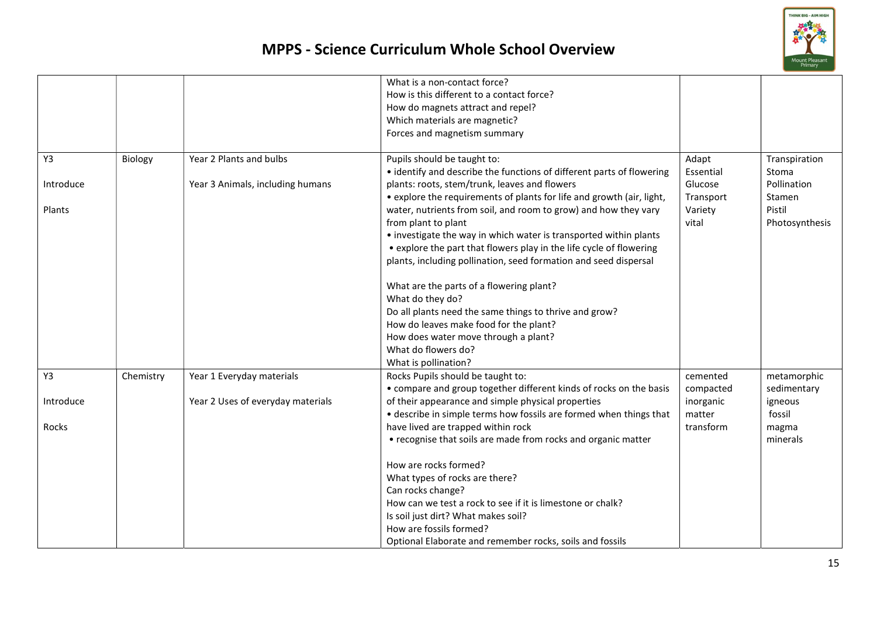

|           |           |                                   | What is a non-contact force?<br>How is this different to a contact force?<br>How do magnets attract and repel?                          |                      |                        |
|-----------|-----------|-----------------------------------|-----------------------------------------------------------------------------------------------------------------------------------------|----------------------|------------------------|
|           |           |                                   | Which materials are magnetic?                                                                                                           |                      |                        |
|           |           |                                   | Forces and magnetism summary                                                                                                            |                      |                        |
|           |           |                                   |                                                                                                                                         |                      |                        |
| Y3        | Biology   | Year 2 Plants and bulbs           | Pupils should be taught to:<br>• identify and describe the functions of different parts of flowering                                    | Adapt<br>Essential   | Transpiration<br>Stoma |
| Introduce |           | Year 3 Animals, including humans  | plants: roots, stem/trunk, leaves and flowers<br>• explore the requirements of plants for life and growth (air, light,                  | Glucose<br>Transport | Pollination<br>Stamen  |
| Plants    |           |                                   | water, nutrients from soil, and room to grow) and how they vary                                                                         | Variety              | Pistil                 |
|           |           |                                   | from plant to plant                                                                                                                     | vital                | Photosynthesis         |
|           |           |                                   | • investigate the way in which water is transported within plants                                                                       |                      |                        |
|           |           |                                   | • explore the part that flowers play in the life cycle of flowering<br>plants, including pollination, seed formation and seed dispersal |                      |                        |
|           |           |                                   |                                                                                                                                         |                      |                        |
|           |           |                                   | What are the parts of a flowering plant?                                                                                                |                      |                        |
|           |           |                                   | What do they do?                                                                                                                        |                      |                        |
|           |           |                                   | Do all plants need the same things to thrive and grow?                                                                                  |                      |                        |
|           |           |                                   | How do leaves make food for the plant?                                                                                                  |                      |                        |
|           |           |                                   | How does water move through a plant?                                                                                                    |                      |                        |
|           |           |                                   | What do flowers do?                                                                                                                     |                      |                        |
|           |           |                                   | What is pollination?                                                                                                                    |                      |                        |
| Y3        | Chemistry | Year 1 Everyday materials         | Rocks Pupils should be taught to:                                                                                                       | cemented             | metamorphic            |
|           |           |                                   | • compare and group together different kinds of rocks on the basis                                                                      | compacted            | sedimentary            |
| Introduce |           | Year 2 Uses of everyday materials | of their appearance and simple physical properties                                                                                      | inorganic            | igneous                |
| Rocks     |           |                                   | • describe in simple terms how fossils are formed when things that<br>have lived are trapped within rock                                | matter<br>transform  | fossil                 |
|           |           |                                   | • recognise that soils are made from rocks and organic matter                                                                           |                      | magma<br>minerals      |
|           |           |                                   |                                                                                                                                         |                      |                        |
|           |           |                                   | How are rocks formed?                                                                                                                   |                      |                        |
|           |           |                                   | What types of rocks are there?                                                                                                          |                      |                        |
|           |           |                                   | Can rocks change?                                                                                                                       |                      |                        |
|           |           |                                   | How can we test a rock to see if it is limestone or chalk?                                                                              |                      |                        |
|           |           |                                   | Is soil just dirt? What makes soil?                                                                                                     |                      |                        |
|           |           |                                   | How are fossils formed?                                                                                                                 |                      |                        |
|           |           |                                   | Optional Elaborate and remember rocks, soils and fossils                                                                                |                      |                        |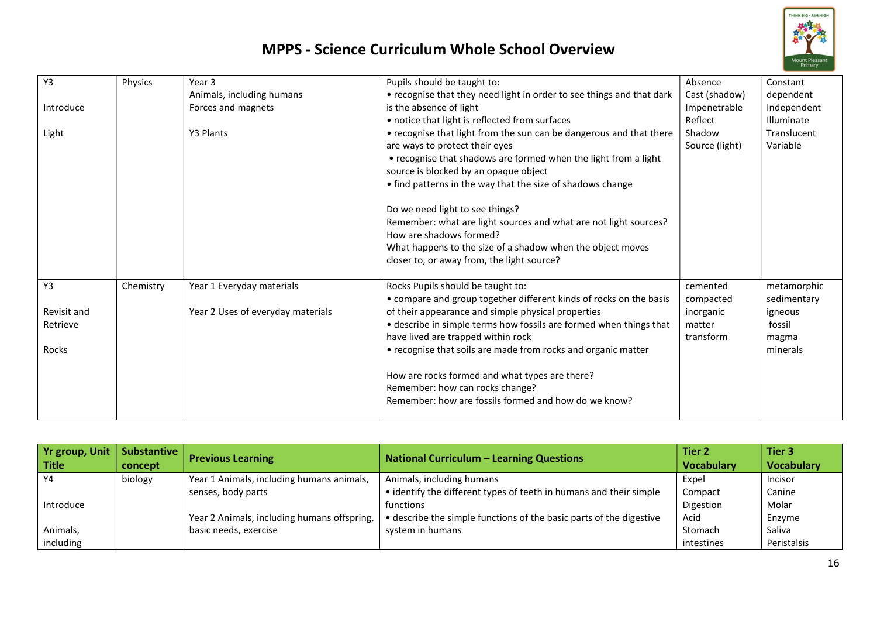

| Y3          | Physics   | Year 3                            | Pupils should be taught to:                                           | Absence        | Constant    |
|-------------|-----------|-----------------------------------|-----------------------------------------------------------------------|----------------|-------------|
|             |           | Animals, including humans         | • recognise that they need light in order to see things and that dark | Cast (shadow)  | dependent   |
| Introduce   |           | Forces and magnets                | is the absence of light                                               | Impenetrable   | Independent |
|             |           |                                   | • notice that light is reflected from surfaces                        | Reflect        | Illuminate  |
| Light       |           | Y3 Plants                         | • recognise that light from the sun can be dangerous and that there   | Shadow         | Translucent |
|             |           |                                   | are ways to protect their eyes                                        | Source (light) | Variable    |
|             |           |                                   | • recognise that shadows are formed when the light from a light       |                |             |
|             |           |                                   | source is blocked by an opaque object                                 |                |             |
|             |           |                                   | • find patterns in the way that the size of shadows change            |                |             |
|             |           |                                   | Do we need light to see things?                                       |                |             |
|             |           |                                   | Remember: what are light sources and what are not light sources?      |                |             |
|             |           |                                   | How are shadows formed?                                               |                |             |
|             |           |                                   | What happens to the size of a shadow when the object moves            |                |             |
|             |           |                                   | closer to, or away from, the light source?                            |                |             |
| Y3          | Chemistry | Year 1 Everyday materials         | Rocks Pupils should be taught to:                                     | cemented       | metamorphic |
|             |           |                                   | • compare and group together different kinds of rocks on the basis    | compacted      | sedimentary |
| Revisit and |           | Year 2 Uses of everyday materials | of their appearance and simple physical properties                    | inorganic      | igneous     |
| Retrieve    |           |                                   | • describe in simple terms how fossils are formed when things that    | matter         | fossil      |
|             |           |                                   | have lived are trapped within rock                                    | transform      | magma       |
| Rocks       |           |                                   | • recognise that soils are made from rocks and organic matter         |                | minerals    |
|             |           |                                   | How are rocks formed and what types are there?                        |                |             |
|             |           |                                   | Remember: how can rocks change?                                       |                |             |
|             |           |                                   | Remember: how are fossils formed and how do we know?                  |                |             |

| <b>Yr group, Unit</b> | <b>Substantive</b> | <b>Previous Learning</b>                    | <b>National Curriculum - Learning Questions</b>                     | Tier 2            | Tier 3            |
|-----------------------|--------------------|---------------------------------------------|---------------------------------------------------------------------|-------------------|-------------------|
| <b>Title</b>          | concept            |                                             |                                                                     | <b>Vocabulary</b> | <b>Vocabulary</b> |
| Y4                    | biology            | Year 1 Animals, including humans animals,   | Animals, including humans                                           | Expel             | Incisor           |
|                       |                    | senses, body parts                          | • identify the different types of teeth in humans and their simple  | Compact           | Canine            |
| Introduce             |                    |                                             | functions                                                           | Digestion         | Molar             |
|                       |                    | Year 2 Animals, including humans offspring, | • describe the simple functions of the basic parts of the digestive | Acid              | Enzyme            |
| Animals,              |                    | basic needs, exercise                       | system in humans                                                    | Stomach           | Saliva            |
| including             |                    |                                             |                                                                     | intestines        | Peristalsis       |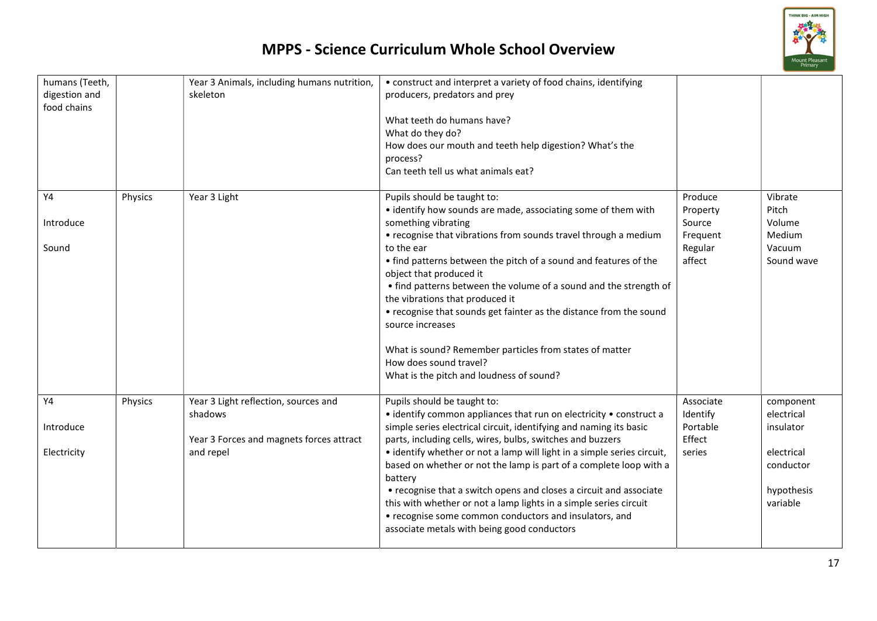

| humans (Teeth,<br>digestion and<br>food chains |         | Year 3 Animals, including humans nutrition,<br>skeleton                                                  | • construct and interpret a variety of food chains, identifying<br>producers, predators and prey<br>What teeth do humans have?<br>What do they do?<br>How does our mouth and teeth help digestion? What's the<br>process?<br>Can teeth tell us what animals eat?                                                                                                                                                                                                                                                                                                                                                                                      |                                                                |                                                                                           |
|------------------------------------------------|---------|----------------------------------------------------------------------------------------------------------|-------------------------------------------------------------------------------------------------------------------------------------------------------------------------------------------------------------------------------------------------------------------------------------------------------------------------------------------------------------------------------------------------------------------------------------------------------------------------------------------------------------------------------------------------------------------------------------------------------------------------------------------------------|----------------------------------------------------------------|-------------------------------------------------------------------------------------------|
| Y4<br>Introduce<br>Sound                       | Physics | Year 3 Light                                                                                             | Pupils should be taught to:<br>• identify how sounds are made, associating some of them with<br>something vibrating<br>• recognise that vibrations from sounds travel through a medium<br>to the ear<br>• find patterns between the pitch of a sound and features of the<br>object that produced it<br>• find patterns between the volume of a sound and the strength of<br>the vibrations that produced it<br>• recognise that sounds get fainter as the distance from the sound<br>source increases<br>What is sound? Remember particles from states of matter<br>How does sound travel?<br>What is the pitch and loudness of sound?                | Produce<br>Property<br>Source<br>Frequent<br>Regular<br>affect | Vibrate<br>Pitch<br>Volume<br>Medium<br>Vacuum<br>Sound wave                              |
| Y4<br>Introduce<br>Electricity                 | Physics | Year 3 Light reflection, sources and<br>shadows<br>Year 3 Forces and magnets forces attract<br>and repel | Pupils should be taught to:<br>• identify common appliances that run on electricity • construct a<br>simple series electrical circuit, identifying and naming its basic<br>parts, including cells, wires, bulbs, switches and buzzers<br>• identify whether or not a lamp will light in a simple series circuit,<br>based on whether or not the lamp is part of a complete loop with a<br>battery<br>• recognise that a switch opens and closes a circuit and associate<br>this with whether or not a lamp lights in a simple series circuit<br>• recognise some common conductors and insulators, and<br>associate metals with being good conductors | Associate<br>Identify<br>Portable<br>Effect<br>series          | component<br>electrical<br>insulator<br>electrical<br>conductor<br>hypothesis<br>variable |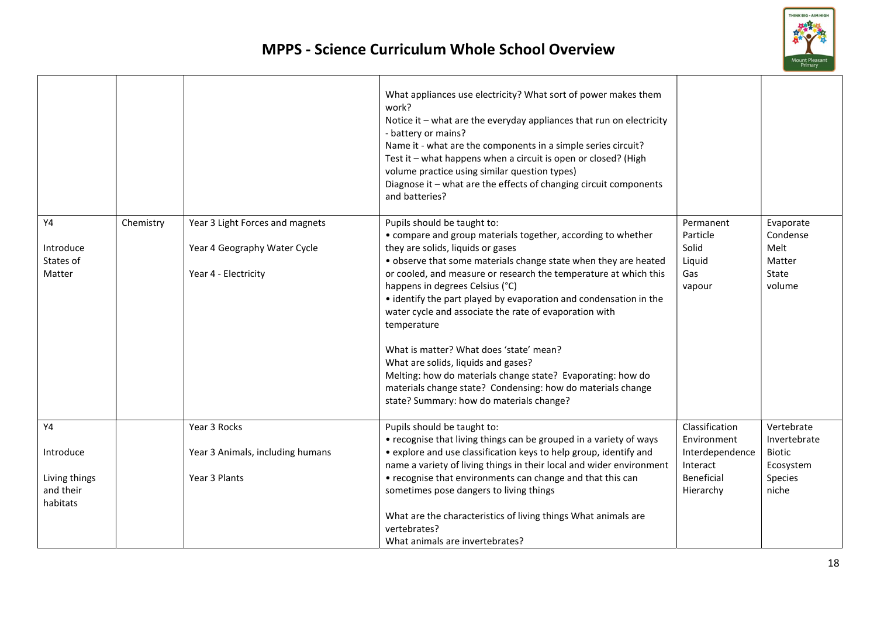

|                                        |           |                                                                                         | What appliances use electricity? What sort of power makes them<br>work?<br>Notice it - what are the everyday appliances that run on electricity<br>- battery or mains?<br>Name it - what are the components in a simple series circuit?<br>Test it - what happens when a circuit is open or closed? (High<br>volume practice using similar question types)<br>Diagnose it - what are the effects of changing circuit components<br>and batteries?                                                                                                                                                                                                                                                                    |                                                           |                                                            |
|----------------------------------------|-----------|-----------------------------------------------------------------------------------------|----------------------------------------------------------------------------------------------------------------------------------------------------------------------------------------------------------------------------------------------------------------------------------------------------------------------------------------------------------------------------------------------------------------------------------------------------------------------------------------------------------------------------------------------------------------------------------------------------------------------------------------------------------------------------------------------------------------------|-----------------------------------------------------------|------------------------------------------------------------|
| Y4<br>Introduce<br>States of<br>Matter | Chemistry | Year 3 Light Forces and magnets<br>Year 4 Geography Water Cycle<br>Year 4 - Electricity | Pupils should be taught to:<br>• compare and group materials together, according to whether<br>they are solids, liquids or gases<br>• observe that some materials change state when they are heated<br>or cooled, and measure or research the temperature at which this<br>happens in degrees Celsius (°C)<br>• identify the part played by evaporation and condensation in the<br>water cycle and associate the rate of evaporation with<br>temperature<br>What is matter? What does 'state' mean?<br>What are solids, liquids and gases?<br>Melting: how do materials change state? Evaporating: how do<br>materials change state? Condensing: how do materials change<br>state? Summary: how do materials change? | Permanent<br>Particle<br>Solid<br>Liquid<br>Gas<br>vapour | Evaporate<br>Condense<br>Melt<br>Matter<br>State<br>volume |
| Y4<br>Introduce                        |           | Year 3 Rocks<br>Year 3 Animals, including humans                                        | Pupils should be taught to:<br>• recognise that living things can be grouped in a variety of ways<br>• explore and use classification keys to help group, identify and                                                                                                                                                                                                                                                                                                                                                                                                                                                                                                                                               | Classification<br>Environment<br>Interdependence          | Vertebrate<br>Invertebrate<br><b>Biotic</b>                |
| Living things<br>and their<br>habitats |           | Year 3 Plants                                                                           | name a variety of living things in their local and wider environment<br>• recognise that environments can change and that this can<br>sometimes pose dangers to living things<br>What are the characteristics of living things What animals are<br>vertebrates?<br>What animals are invertebrates?                                                                                                                                                                                                                                                                                                                                                                                                                   | Interact<br><b>Beneficial</b><br>Hierarchy                | Ecosystem<br>Species<br>niche                              |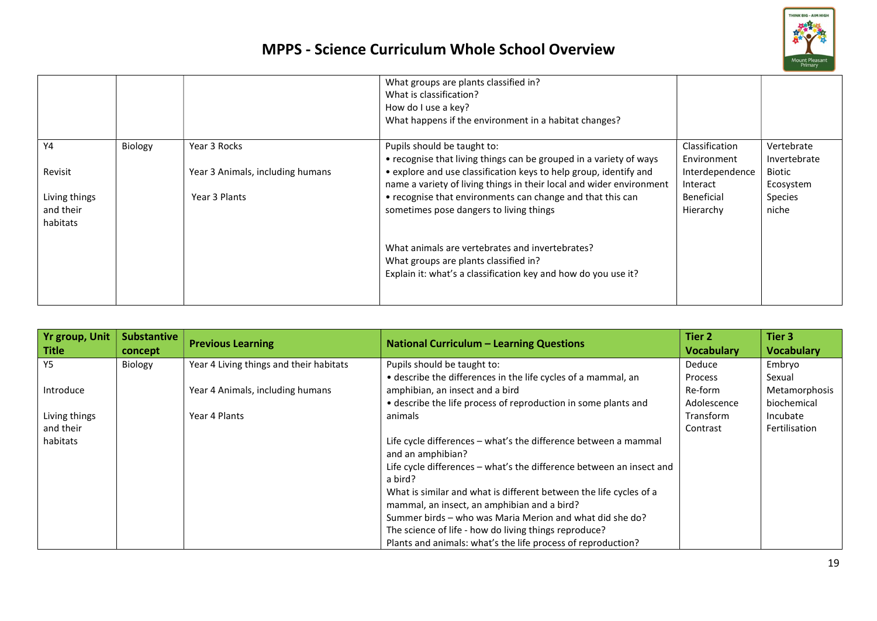

|                                        |         |                                  | What groups are plants classified in?<br>What is classification?<br>How do I use a key?<br>What happens if the environment in a habitat changes?           |                               |                            |
|----------------------------------------|---------|----------------------------------|------------------------------------------------------------------------------------------------------------------------------------------------------------|-------------------------------|----------------------------|
| Y4                                     | Biology | Year 3 Rocks                     | Pupils should be taught to:<br>• recognise that living things can be grouped in a variety of ways                                                          | Classification<br>Environment | Vertebrate<br>Invertebrate |
| Revisit                                |         | Year 3 Animals, including humans | • explore and use classification keys to help group, identify and<br>name a variety of living things in their local and wider environment                  | Interdependence<br>Interact   | Biotic<br>Ecosystem        |
| Living things<br>and their<br>habitats |         | Year 3 Plants                    | • recognise that environments can change and that this can<br>sometimes pose dangers to living things                                                      | Beneficial<br>Hierarchy       | <b>Species</b><br>niche    |
|                                        |         |                                  | What animals are vertebrates and invertebrates?<br>What groups are plants classified in?<br>Explain it: what's a classification key and how do you use it? |                               |                            |

| <b>Yr group, Unit</b><br>Title | <b>Substantive</b><br>concept | <b>Previous Learning</b>                | <b>National Curriculum - Learning Questions</b>                      | Tier 2<br><b>Vocabulary</b> | Tier 3<br><b>Vocabulary</b> |
|--------------------------------|-------------------------------|-----------------------------------------|----------------------------------------------------------------------|-----------------------------|-----------------------------|
| Y5                             | Biology                       | Year 4 Living things and their habitats | Pupils should be taught to:                                          | Deduce                      | Embryo                      |
|                                |                               |                                         | • describe the differences in the life cycles of a mammal, an        | <b>Process</b>              | Sexual                      |
| Introduce                      |                               | Year 4 Animals, including humans        | amphibian, an insect and a bird                                      | Re-form                     | Metamorphosis               |
|                                |                               |                                         | • describe the life process of reproduction in some plants and       | Adolescence                 | biochemical                 |
| Living things                  |                               | Year 4 Plants                           | animals                                                              | Transform                   | Incubate                    |
| and their                      |                               |                                         |                                                                      | Contrast                    | Fertilisation               |
| habitats                       |                               |                                         | Life cycle differences - what's the difference between a mammal      |                             |                             |
|                                |                               |                                         | and an amphibian?                                                    |                             |                             |
|                                |                               |                                         | Life cycle differences – what's the difference between an insect and |                             |                             |
|                                |                               |                                         | a bird?                                                              |                             |                             |
|                                |                               |                                         | What is similar and what is different between the life cycles of a   |                             |                             |
|                                |                               |                                         | mammal, an insect, an amphibian and a bird?                          |                             |                             |
|                                |                               |                                         | Summer birds – who was Maria Merion and what did she do?             |                             |                             |
|                                |                               |                                         | The science of life - how do living things reproduce?                |                             |                             |
|                                |                               |                                         | Plants and animals: what's the life process of reproduction?         |                             |                             |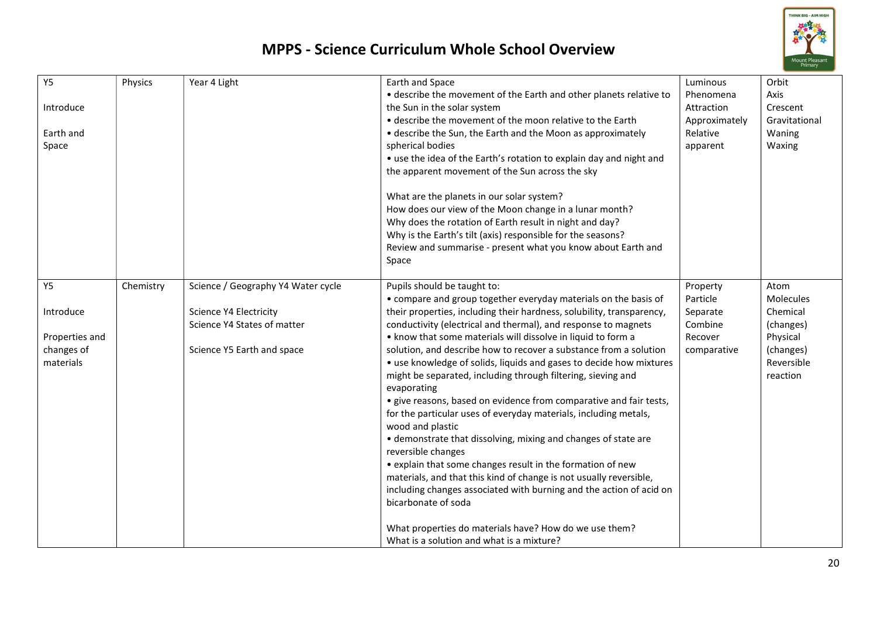

| <b>Y5</b><br>Introduce<br>Earth and<br>Space | Physics   | Year 4 Light                                          | Earth and Space<br>• describe the movement of the Earth and other planets relative to<br>the Sun in the solar system<br>• describe the movement of the moon relative to the Earth<br>• describe the Sun, the Earth and the Moon as approximately<br>spherical bodies<br>• use the idea of the Earth's rotation to explain day and night and<br>the apparent movement of the Sun across the sky<br>What are the planets in our solar system?<br>How does our view of the Moon change in a lunar month?<br>Why does the rotation of Earth result in night and day?<br>Why is the Earth's tilt (axis) responsible for the seasons?<br>Review and summarise - present what you know about Earth and<br>Space        | Luminous<br>Phenomena<br>Attraction<br>Approximately<br>Relative<br>apparent | Orbit<br>Axis<br>Crescent<br>Gravitational<br>Waning<br>Waxing |
|----------------------------------------------|-----------|-------------------------------------------------------|-----------------------------------------------------------------------------------------------------------------------------------------------------------------------------------------------------------------------------------------------------------------------------------------------------------------------------------------------------------------------------------------------------------------------------------------------------------------------------------------------------------------------------------------------------------------------------------------------------------------------------------------------------------------------------------------------------------------|------------------------------------------------------------------------------|----------------------------------------------------------------|
| <b>Y5</b>                                    | Chemistry | Science / Geography Y4 Water cycle                    | Pupils should be taught to:<br>• compare and group together everyday materials on the basis of                                                                                                                                                                                                                                                                                                                                                                                                                                                                                                                                                                                                                  | Property<br>Particle                                                         | Atom<br>Molecules                                              |
| Introduce                                    |           | Science Y4 Electricity<br>Science Y4 States of matter | their properties, including their hardness, solubility, transparency,<br>conductivity (electrical and thermal), and response to magnets                                                                                                                                                                                                                                                                                                                                                                                                                                                                                                                                                                         | Separate<br>Combine                                                          | Chemical<br>(changes)                                          |
| Properties and                               |           |                                                       | . know that some materials will dissolve in liquid to form a                                                                                                                                                                                                                                                                                                                                                                                                                                                                                                                                                                                                                                                    | Recover                                                                      | Physical                                                       |
| changes of<br>materials                      |           | Science Y5 Earth and space                            | solution, and describe how to recover a substance from a solution<br>• use knowledge of solids, liquids and gases to decide how mixtures<br>might be separated, including through filtering, sieving and<br>evaporating<br>• give reasons, based on evidence from comparative and fair tests,<br>for the particular uses of everyday materials, including metals,<br>wood and plastic<br>• demonstrate that dissolving, mixing and changes of state are<br>reversible changes<br>• explain that some changes result in the formation of new<br>materials, and that this kind of change is not usually reversible,<br>including changes associated with burning and the action of acid on<br>bicarbonate of soda | comparative                                                                  | (changes)<br>Reversible<br>reaction                            |
|                                              |           |                                                       | What properties do materials have? How do we use them?<br>What is a solution and what is a mixture?                                                                                                                                                                                                                                                                                                                                                                                                                                                                                                                                                                                                             |                                                                              |                                                                |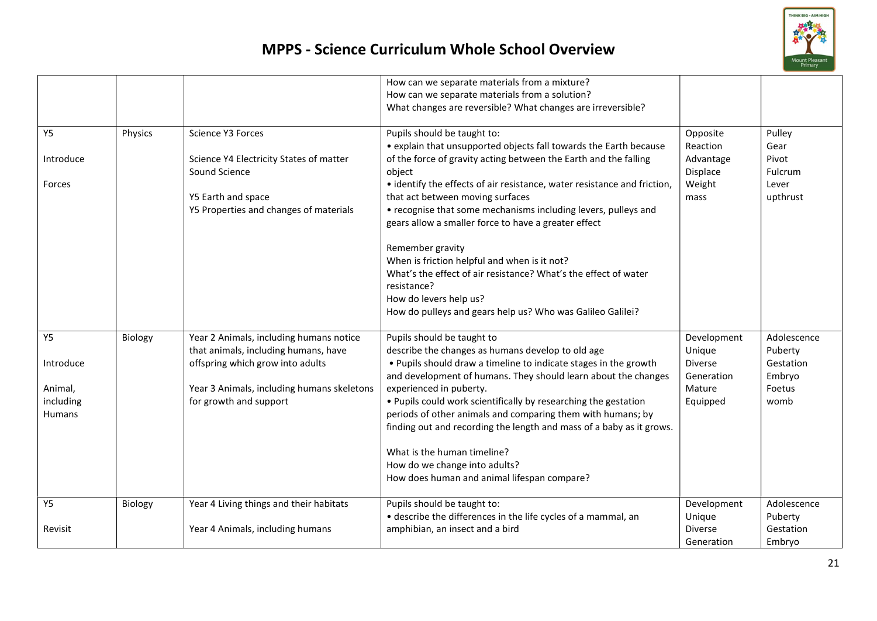

|               |         |                                                                                 | How can we separate materials from a mixture?<br>How can we separate materials from a solution?<br>What changes are reversible? What changes are irreversible? |                              |                        |
|---------------|---------|---------------------------------------------------------------------------------|----------------------------------------------------------------------------------------------------------------------------------------------------------------|------------------------------|------------------------|
| <b>Y5</b>     | Physics | Science Y3 Forces                                                               | Pupils should be taught to:                                                                                                                                    | Opposite                     | Pulley                 |
|               |         |                                                                                 | • explain that unsupported objects fall towards the Earth because                                                                                              | Reaction                     | Gear                   |
| Introduce     |         | Science Y4 Electricity States of matter<br>Sound Science                        | of the force of gravity acting between the Earth and the falling<br>object                                                                                     | Advantage<br>Displace        | Pivot<br>Fulcrum       |
| Forces        |         |                                                                                 | • identify the effects of air resistance, water resistance and friction,                                                                                       | Weight                       | Lever                  |
|               |         | Y5 Earth and space                                                              | that act between moving surfaces                                                                                                                               | mass                         | upthrust               |
|               |         | Y5 Properties and changes of materials                                          | • recognise that some mechanisms including levers, pulleys and<br>gears allow a smaller force to have a greater effect                                         |                              |                        |
|               |         |                                                                                 | Remember gravity                                                                                                                                               |                              |                        |
|               |         |                                                                                 | When is friction helpful and when is it not?<br>What's the effect of air resistance? What's the effect of water                                                |                              |                        |
|               |         |                                                                                 | resistance?                                                                                                                                                    |                              |                        |
|               |         |                                                                                 | How do levers help us?                                                                                                                                         |                              |                        |
|               |         |                                                                                 | How do pulleys and gears help us? Who was Galileo Galilei?                                                                                                     |                              |                        |
| <b>Y5</b>     | Biology | Year 2 Animals, including humans notice<br>that animals, including humans, have | Pupils should be taught to<br>describe the changes as humans develop to old age                                                                                | Development<br>Unique        | Adolescence<br>Puberty |
| Introduce     |         | offspring which grow into adults                                                | . Pupils should draw a timeline to indicate stages in the growth<br>and development of humans. They should learn about the changes                             | <b>Diverse</b><br>Generation | Gestation<br>Embryo    |
| Animal,       |         | Year 3 Animals, including humans skeletons                                      | experienced in puberty.                                                                                                                                        | Mature                       | Foetus                 |
| including     |         | for growth and support                                                          | . Pupils could work scientifically by researching the gestation                                                                                                | Equipped                     | womb                   |
| <b>Humans</b> |         |                                                                                 | periods of other animals and comparing them with humans; by<br>finding out and recording the length and mass of a baby as it grows.                            |                              |                        |
|               |         |                                                                                 | What is the human timeline?                                                                                                                                    |                              |                        |
|               |         |                                                                                 | How do we change into adults?                                                                                                                                  |                              |                        |
|               |         |                                                                                 | How does human and animal lifespan compare?                                                                                                                    |                              |                        |
| <b>Y5</b>     | Biology | Year 4 Living things and their habitats                                         | Pupils should be taught to:                                                                                                                                    | Development                  | Adolescence            |
|               |         |                                                                                 | • describe the differences in the life cycles of a mammal, an                                                                                                  | Unique                       | Puberty                |
| Revisit       |         | Year 4 Animals, including humans                                                | amphibian, an insect and a bird                                                                                                                                | <b>Diverse</b>               | Gestation              |
|               |         |                                                                                 |                                                                                                                                                                | Generation                   | Embryo                 |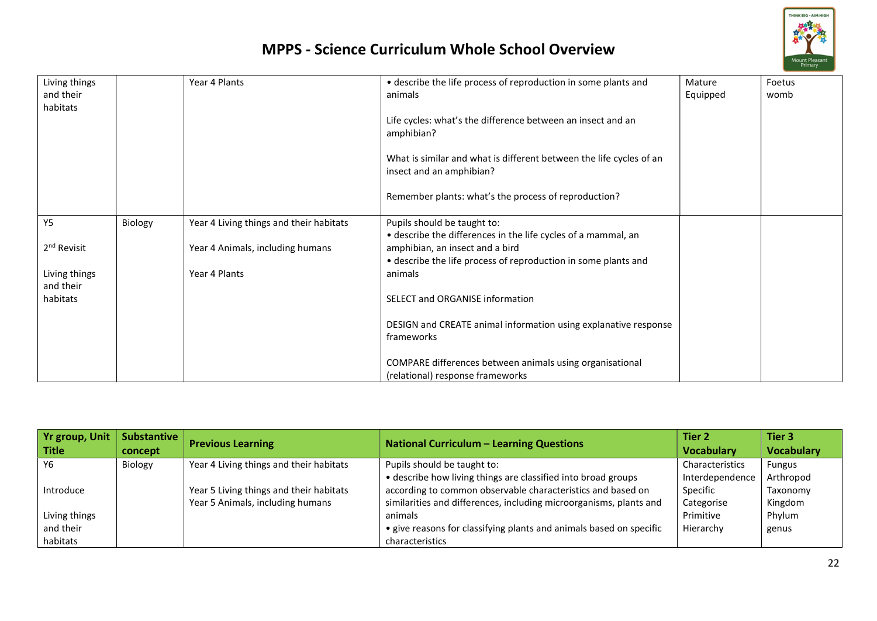

| Living things<br>and their<br>habitats |         | Year 4 Plants                           | • describe the life process of reproduction in some plants and<br>animals<br>Life cycles: what's the difference between an insect and an<br>amphibian?<br>What is similar and what is different between the life cycles of an<br>insect and an amphibian?<br>Remember plants: what's the process of reproduction? | Mature<br>Equipped | Foetus<br>womb |
|----------------------------------------|---------|-----------------------------------------|-------------------------------------------------------------------------------------------------------------------------------------------------------------------------------------------------------------------------------------------------------------------------------------------------------------------|--------------------|----------------|
| <b>Y5</b>                              | Biology | Year 4 Living things and their habitats | Pupils should be taught to:<br>• describe the differences in the life cycles of a mammal, an                                                                                                                                                                                                                      |                    |                |
| 2 <sup>nd</sup> Revisit                |         | Year 4 Animals, including humans        | amphibian, an insect and a bird<br>• describe the life process of reproduction in some plants and                                                                                                                                                                                                                 |                    |                |
| Living things<br>and their             |         | Year 4 Plants                           | animals                                                                                                                                                                                                                                                                                                           |                    |                |
| habitats                               |         |                                         | SELECT and ORGANISE information                                                                                                                                                                                                                                                                                   |                    |                |
|                                        |         |                                         | DESIGN and CREATE animal information using explanative response<br>frameworks                                                                                                                                                                                                                                     |                    |                |
|                                        |         |                                         | COMPARE differences between animals using organisational<br>(relational) response frameworks                                                                                                                                                                                                                      |                    |                |

| <b>Yr group, Unit</b><br><b>Title</b> | <b>Substantive</b><br>concept | <b>Previous Learning</b>                | <b>National Curriculum - Learning Questions</b>                     | Tier 2<br><b>Vocabulary</b> | Tier 3<br><b>Vocabulary</b> |
|---------------------------------------|-------------------------------|-----------------------------------------|---------------------------------------------------------------------|-----------------------------|-----------------------------|
| Y6                                    | Biology                       | Year 4 Living things and their habitats | Pupils should be taught to:                                         | Characteristics             | <b>Fungus</b>               |
|                                       |                               |                                         | • describe how living things are classified into broad groups       | Interdependence             | Arthropod                   |
| Introduce                             |                               | Year 5 Living things and their habitats | according to common observable characteristics and based on         | Specific                    | Taxonomy                    |
|                                       |                               | Year 5 Animals, including humans        | similarities and differences, including microorganisms, plants and  | Categorise                  | Kingdom                     |
| Living things                         |                               |                                         | animals                                                             | Primitive                   | Phylum                      |
| and their                             |                               |                                         | • give reasons for classifying plants and animals based on specific | Hierarchy                   | genus                       |
| habitats                              |                               |                                         | characteristics                                                     |                             |                             |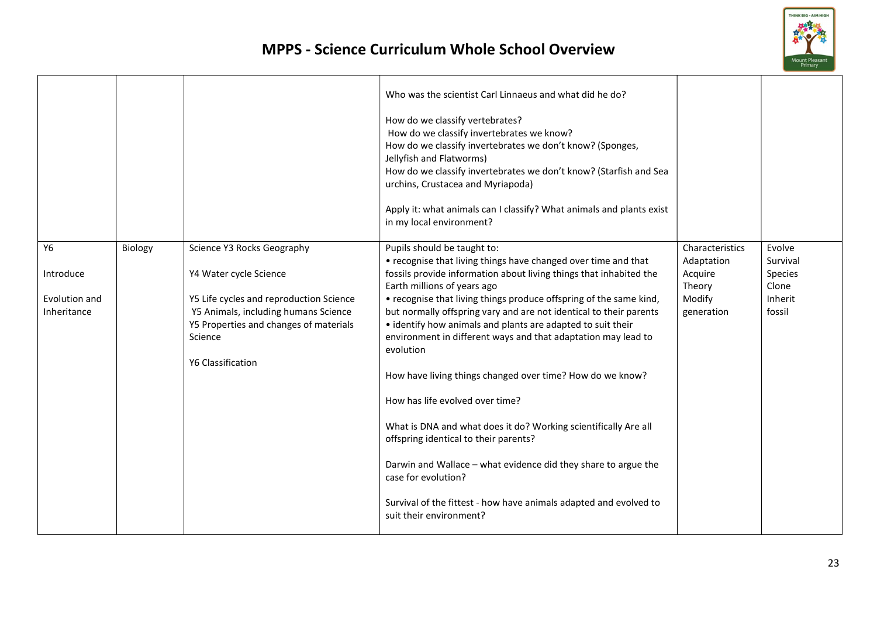

|               |         |                                                   | Who was the scientist Carl Linnaeus and what did he do?<br>How do we classify vertebrates?<br>How do we classify invertebrates we know?<br>How do we classify invertebrates we don't know? (Sponges,<br>Jellyfish and Flatworms)<br>How do we classify invertebrates we don't know? (Starfish and Sea<br>urchins, Crustacea and Myriapoda)<br>Apply it: what animals can I classify? What animals and plants exist<br>in my local environment? |                       |                    |
|---------------|---------|---------------------------------------------------|------------------------------------------------------------------------------------------------------------------------------------------------------------------------------------------------------------------------------------------------------------------------------------------------------------------------------------------------------------------------------------------------------------------------------------------------|-----------------------|--------------------|
| <b>Y6</b>     | Biology | Science Y3 Rocks Geography                        | Pupils should be taught to:                                                                                                                                                                                                                                                                                                                                                                                                                    | Characteristics       | Evolve<br>Survival |
| Introduce     |         | Y4 Water cycle Science                            | • recognise that living things have changed over time and that<br>fossils provide information about living things that inhabited the                                                                                                                                                                                                                                                                                                           | Adaptation<br>Acquire | Species            |
|               |         |                                                   | Earth millions of years ago                                                                                                                                                                                                                                                                                                                                                                                                                    | Theory                | Clone              |
| Evolution and |         | Y5 Life cycles and reproduction Science           | • recognise that living things produce offspring of the same kind,                                                                                                                                                                                                                                                                                                                                                                             | Modify                | Inherit            |
| Inheritance   |         | Y5 Animals, including humans Science              | but normally offspring vary and are not identical to their parents                                                                                                                                                                                                                                                                                                                                                                             | generation            | fossil             |
|               |         | Y5 Properties and changes of materials<br>Science | • identify how animals and plants are adapted to suit their<br>environment in different ways and that adaptation may lead to                                                                                                                                                                                                                                                                                                                   |                       |                    |
|               |         | Y6 Classification                                 | evolution                                                                                                                                                                                                                                                                                                                                                                                                                                      |                       |                    |
|               |         |                                                   | How have living things changed over time? How do we know?                                                                                                                                                                                                                                                                                                                                                                                      |                       |                    |
|               |         |                                                   | How has life evolved over time?                                                                                                                                                                                                                                                                                                                                                                                                                |                       |                    |
|               |         |                                                   | What is DNA and what does it do? Working scientifically Are all<br>offspring identical to their parents?                                                                                                                                                                                                                                                                                                                                       |                       |                    |
|               |         |                                                   | Darwin and Wallace - what evidence did they share to argue the<br>case for evolution?                                                                                                                                                                                                                                                                                                                                                          |                       |                    |
|               |         |                                                   | Survival of the fittest - how have animals adapted and evolved to<br>suit their environment?                                                                                                                                                                                                                                                                                                                                                   |                       |                    |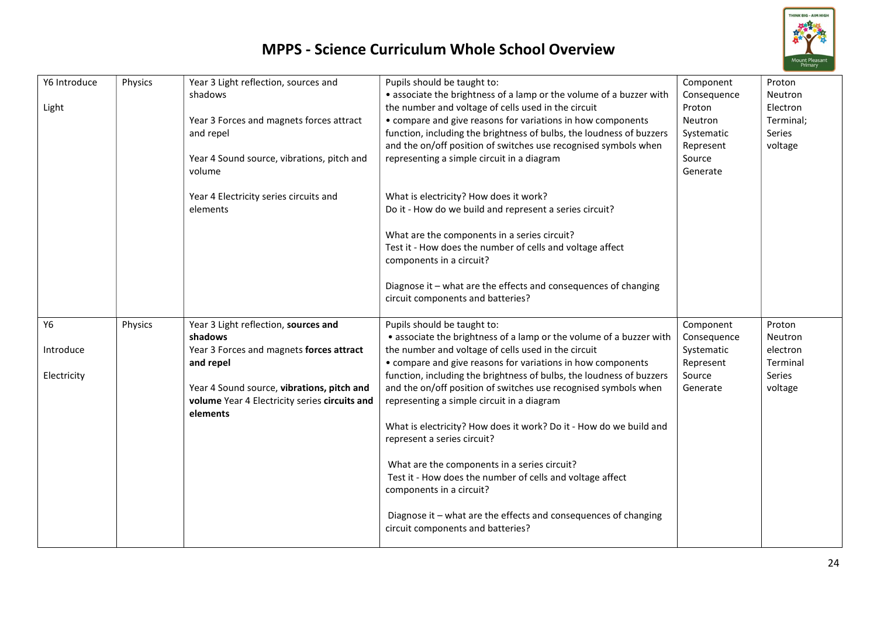

| Y6 Introduce<br>Light                 | Physics | Year 3 Light reflection, sources and<br>shadows<br>Year 3 Forces and magnets forces attract<br>and repel<br>Year 4 Sound source, vibrations, pitch and<br>volume                                                    | Pupils should be taught to:<br>• associate the brightness of a lamp or the volume of a buzzer with<br>the number and voltage of cells used in the circuit<br>• compare and give reasons for variations in how components<br>function, including the brightness of bulbs, the loudness of buzzers<br>and the on/off position of switches use recognised symbols when<br>representing a simple circuit in a diagram                                                                                                                                                                                                                                                                                                                                                       | Component<br>Consequence<br>Proton<br>Neutron<br>Systematic<br>Represent<br>Source<br>Generate | Proton<br><b>Neutron</b><br>Electron<br>Terminal;<br>Series<br>voltage       |
|---------------------------------------|---------|---------------------------------------------------------------------------------------------------------------------------------------------------------------------------------------------------------------------|-------------------------------------------------------------------------------------------------------------------------------------------------------------------------------------------------------------------------------------------------------------------------------------------------------------------------------------------------------------------------------------------------------------------------------------------------------------------------------------------------------------------------------------------------------------------------------------------------------------------------------------------------------------------------------------------------------------------------------------------------------------------------|------------------------------------------------------------------------------------------------|------------------------------------------------------------------------------|
|                                       |         | Year 4 Electricity series circuits and<br>elements                                                                                                                                                                  | What is electricity? How does it work?<br>Do it - How do we build and represent a series circuit?<br>What are the components in a series circuit?<br>Test it - How does the number of cells and voltage affect<br>components in a circuit?<br>Diagnose it - what are the effects and consequences of changing<br>circuit components and batteries?                                                                                                                                                                                                                                                                                                                                                                                                                      |                                                                                                |                                                                              |
| <b>Y6</b><br>Introduce<br>Electricity | Physics | Year 3 Light reflection, sources and<br>shadows<br>Year 3 Forces and magnets forces attract<br>and repel<br>Year 4 Sound source, vibrations, pitch and<br>volume Year 4 Electricity series circuits and<br>elements | Pupils should be taught to:<br>• associate the brightness of a lamp or the volume of a buzzer with<br>the number and voltage of cells used in the circuit<br>• compare and give reasons for variations in how components<br>function, including the brightness of bulbs, the loudness of buzzers<br>and the on/off position of switches use recognised symbols when<br>representing a simple circuit in a diagram<br>What is electricity? How does it work? Do it - How do we build and<br>represent a series circuit?<br>What are the components in a series circuit?<br>Test it - How does the number of cells and voltage affect<br>components in a circuit?<br>Diagnose it - what are the effects and consequences of changing<br>circuit components and batteries? | Component<br>Consequence<br>Systematic<br>Represent<br>Source<br>Generate                      | Proton<br><b>Neutron</b><br>electron<br>Terminal<br><b>Series</b><br>voltage |